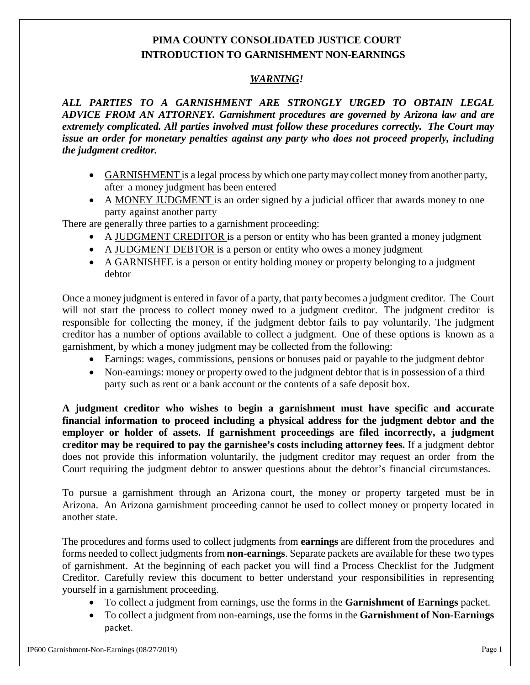# **PIMA COUNTY CONSOLIDATED JUSTICE COURT INTRODUCTION TO GARNISHMENT NON-EARNINGS**

# *WARNING!*

*ALL PARTIES TO A GARNISHMENT ARE STRONGLY URGED TO OBTAIN LEGAL ADVICE FROM AN ATTORNEY. Garnishment procedures are governed by Arizona law and are extremely complicated. All parties involved must follow these procedures correctly. The Court may issue an order for monetary penalties against any party who does not proceed properly, including the judgment creditor.*

- GARNISHMENT is a legal process by which one party may collect money from another party, after a money judgment has been entered
- A MONEY JUDGMENT is an order signed by a judicial officer that awards money to one party against another party

There are generally three parties to a garnishment proceeding:

- A JUDGMENT CREDITOR is a person or entity who has been granted a money judgment
- A JUDGMENT DEBTOR is a person or entity who owes a money judgment
- A GARNISHEE is a person or entity holding money or property belonging to a judgment debtor

Once a money judgment is entered in favor of a party, that party becomes a judgment creditor. The Court will not start the process to collect money owed to a judgment creditor. The judgment creditor is responsible for collecting the money, if the judgment debtor fails to pay voluntarily. The judgment creditor has a number of options available to collect a judgment. One of these options is known as a garnishment, by which a money judgment may be collected from the following:

- Earnings: wages, commissions, pensions or bonuses paid or payable to the judgment debtor
- Non-earnings: money or property owed to the judgment debtor that is in possession of a third party such as rent or a bank account or the contents of a safe deposit box.

**A judgment creditor who wishes to begin a garnishment must have specific and accurate financial information to proceed including a physical address for the judgment debtor and the employer or holder of assets. If garnishment proceedings are filed incorrectly, a judgment creditor may be required to pay the garnishee's costs including attorney fees.** If a judgment debtor does not provide this information voluntarily, the judgment creditor may request an order from the Court requiring the judgment debtor to answer questions about the debtor's financial circumstances.

To pursue a garnishment through an Arizona court, the money or property targeted must be in Arizona. An Arizona garnishment proceeding cannot be used to collect money or property located in another state.

The procedures and forms used to collect judgments from **earnings** are different from the procedures and forms needed to collect judgments from **non-earnings**. Separate packets are available for these two types of garnishment. At the beginning of each packet you will find a Process Checklist for the Judgment Creditor. Carefully review this document to better understand your responsibilities in representing yourself in a garnishment proceeding.

- To collect a judgment from earnings, use the forms in the **Garnishment of Earnings** packet.
- To collect a judgment from non-earnings, use the forms in the **Garnishment of Non-Earnings** packet.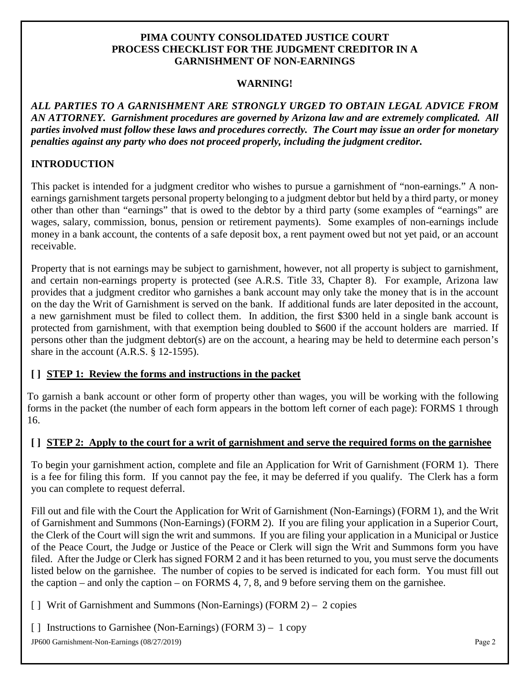## **PIMA COUNTY CONSOLIDATED JUSTICE COURT PROCESS CHECKLIST FOR THE JUDGMENT CREDITOR IN A GARNISHMENT OF NON-EARNINGS**

#### **WARNING!**

*ALL PARTIES TO A GARNISHMENT ARE STRONGLY URGED TO OBTAIN LEGAL ADVICE FROM AN ATTORNEY. Garnishment procedures are governed by Arizona law and are extremely complicated. All parties involved must follow these laws and procedures correctly. The Court may issue an order for monetary penalties against any party who does not proceed properly, including the judgment creditor.* 

# **INTRODUCTION**

This packet is intended for a judgment creditor who wishes to pursue a garnishment of "non-earnings." A nonearnings garnishment targets personal property belonging to a judgment debtor but held by a third party, or money other than other than "earnings" that is owed to the debtor by a third party (some examples of "earnings" are wages, salary, commission, bonus, pension or retirement payments). Some examples of non-earnings include money in a bank account, the contents of a safe deposit box, a rent payment owed but not yet paid, or an account receivable.

Property that is not earnings may be subject to garnishment, however, not all property is subject to garnishment, and certain non-earnings property is protected (see A.R.S. Title 33, Chapter 8). For example, Arizona law provides that a judgment creditor who garnishes a bank account may only take the money that is in the account on the day the Writ of Garnishment is served on the bank. If additional funds are later deposited in the account, a new garnishment must be filed to collect them. In addition, the first \$300 held in a single bank account is protected from garnishment, with that exemption being doubled to \$600 if the account holders are married. If persons other than the judgment debtor(s) are on the account, a hearing may be held to determine each person's share in the account (A.R.S. § 12-1595).

## **[ ] STEP 1: Review the forms and instructions in the packet**

To garnish a bank account or other form of property other than wages, you will be working with the following forms in the packet (the number of each form appears in the bottom left corner of each page): FORMS 1 through 16.

## **[ ] STEP 2: Apply to the court for a writ of garnishment and serve the required forms on the garnishee**

To begin your garnishment action, complete and file an Application for Writ of Garnishment (FORM 1). There is a fee for filing this form. If you cannot pay the fee, it may be deferred if you qualify. The Clerk has a form you can complete to request deferral.

Fill out and file with the Court the Application for Writ of Garnishment (Non-Earnings) (FORM 1), and the Writ of Garnishment and Summons (Non-Earnings) (FORM 2). If you are filing your application in a Superior Court, the Clerk of the Court will sign the writ and summons. If you are filing your application in a Municipal or Justice of the Peace Court, the Judge or Justice of the Peace or Clerk will sign the Writ and Summons form you have filed. After the Judge or Clerk has signed FORM 2 and it has been returned to you, you must serve the documents listed below on the garnishee. The number of copies to be served is indicated for each form. You must fill out the caption – and only the caption – on FORMS 4, 7, 8, and 9 before serving them on the garnishee.

[ ] Writ of Garnishment and Summons (Non-Earnings) (FORM 2) – 2 copies

[] Instructions to Garnishee (Non-Earnings) (FORM 3) – 1 copy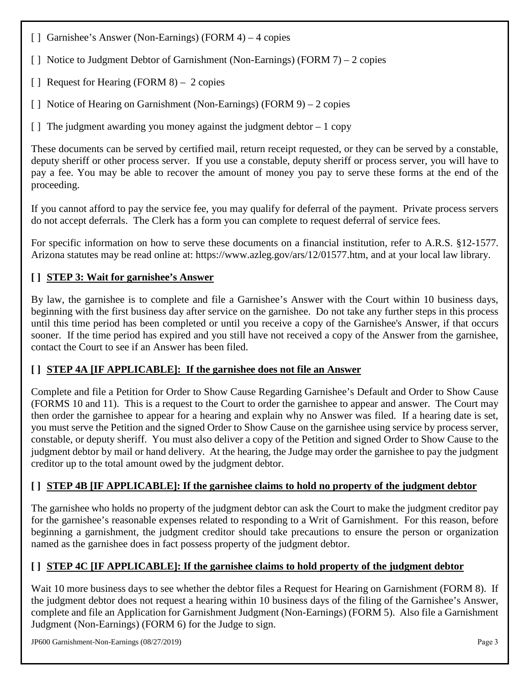- [] Garnishee's Answer (Non-Earnings) (FORM 4) 4 copies
- [] Notice to Judgment Debtor of Garnishment (Non-Earnings) (FORM 7) 2 copies
- [] Request for Hearing (FORM 8) 2 copies
- [] Notice of Hearing on Garnishment (Non-Earnings) (FORM 9) 2 copies
- $\lceil \cdot \rceil$  The judgment awarding you money against the judgment debtor  $-1$  copy

These documents can be served by certified mail, return receipt requested, or they can be served by a constable, deputy sheriff or other process server. If you use a constable, deputy sheriff or process server, you will have to pay a fee. You may be able to recover the amount of money you pay to serve these forms at the end of the proceeding.

If you cannot afford to pay the service fee, you may qualify for deferral of the payment. Private process servers do not accept deferrals. The Clerk has a form you can complete to request deferral of service fees.

For specific information on how to serve these documents on a financial institution, refer to A.R.S. §12-1577. Arizona statutes may be read online at: https://www.azleg.gov/ars/12/01577.htm, and at your local law library.

# **[ ] STEP 3: Wait for garnishee's Answer**

By law, the garnishee is to complete and file a Garnishee's Answer with the Court within 10 business days, beginning with the first business day after service on the garnishee. Do not take any further steps in this process until this time period has been completed or until you receive a copy of the Garnishee's Answer, if that occurs sooner. If the time period has expired and you still have not received a copy of the Answer from the garnishee, contact the Court to see if an Answer has been filed.

# **[ ] STEP 4A [IF APPLICABLE]: If the garnishee does not file an Answer**

Complete and file a Petition for Order to Show Cause Regarding Garnishee's Default and Order to Show Cause (FORMS 10 and 11). This is a request to the Court to order the garnishee to appear and answer. The Court may then order the garnishee to appear for a hearing and explain why no Answer was filed. If a hearing date is set, you must serve the Petition and the signed Order to Show Cause on the garnishee using service by process server, constable, or deputy sheriff. You must also deliver a copy of the Petition and signed Order to Show Cause to the judgment debtor by mail or hand delivery. At the hearing, the Judge may order the garnishee to pay the judgment creditor up to the total amount owed by the judgment debtor.

# **[ ] STEP 4B [IF APPLICABLE]: If the garnishee claims to hold no property of the judgment debtor**

The garnishee who holds no property of the judgment debtor can ask the Court to make the judgment creditor pay for the garnishee's reasonable expenses related to responding to a Writ of Garnishment. For this reason, before beginning a garnishment, the judgment creditor should take precautions to ensure the person or organization named as the garnishee does in fact possess property of the judgment debtor.

# **[ ] STEP 4C [IF APPLICABLE]: If the garnishee claims to hold property of the judgment debtor**

Wait 10 more business days to see whether the debtor files a Request for Hearing on Garnishment (FORM 8). If the judgment debtor does not request a hearing within 10 business days of the filing of the Garnishee's Answer, complete and file an Application for Garnishment Judgment (Non-Earnings) (FORM 5). Also file a Garnishment Judgment (Non-Earnings) (FORM 6) for the Judge to sign.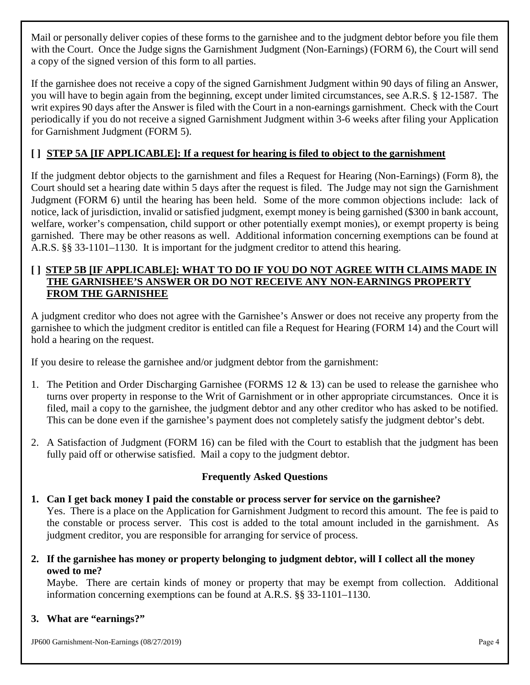Mail or personally deliver copies of these forms to the garnishee and to the judgment debtor before you file them with the Court. Once the Judge signs the Garnishment Judgment (Non-Earnings) (FORM 6), the Court will send a copy of the signed version of this form to all parties.

If the garnishee does not receive a copy of the signed Garnishment Judgment within 90 days of filing an Answer, you will have to begin again from the beginning, except under limited circumstances, see A.R.S. § 12-1587. The writ expires 90 days after the Answer is filed with the Court in a non-earnings garnishment. Check with the Court periodically if you do not receive a signed Garnishment Judgment within 3-6 weeks after filing your Application for Garnishment Judgment (FORM 5).

# **[ ] STEP 5A [IF APPLICABLE]: If a request for hearing is filed to object to the garnishment**

If the judgment debtor objects to the garnishment and files a Request for Hearing (Non-Earnings) (Form 8), the Court should set a hearing date within 5 days after the request is filed. The Judge may not sign the Garnishment Judgment (FORM 6) until the hearing has been held. Some of the more common objections include: lack of notice, lack of jurisdiction, invalid or satisfied judgment, exempt money is being garnished (\$300 in bank account, welfare, worker's compensation, child support or other potentially exempt monies), or exempt property is being garnished. There may be other reasons as well. Additional information concerning exemptions can be found at A.R.S. §§ 33-1101–1130. It is important for the judgment creditor to attend this hearing.

### **[ ] STEP 5B [IF APPLICABLE]: WHAT TO DO IF YOU DO NOT AGREE WITH CLAIMS MADE IN THE GARNISHEE'S ANSWER OR DO NOT RECEIVE ANY NON-EARNINGS PROPERTY FROM THE GARNISHEE**

A judgment creditor who does not agree with the Garnishee's Answer or does not receive any property from the garnishee to which the judgment creditor is entitled can file a Request for Hearing (FORM 14) and the Court will hold a hearing on the request.

If you desire to release the garnishee and/or judgment debtor from the garnishment:

- 1. The Petition and Order Discharging Garnishee (FORMS 12 & 13) can be used to release the garnishee who turns over property in response to the Writ of Garnishment or in other appropriate circumstances. Once it is filed, mail a copy to the garnishee, the judgment debtor and any other creditor who has asked to be notified. This can be done even if the garnishee's payment does not completely satisfy the judgment debtor's debt.
- 2. A Satisfaction of Judgment (FORM 16) can be filed with the Court to establish that the judgment has been fully paid off or otherwise satisfied. Mail a copy to the judgment debtor.

# **Frequently Asked Questions**

- **1. Can I get back money I paid the constable or process server for service on the garnishee?** Yes. There is a place on the Application for Garnishment Judgment to record this amount. The fee is paid to the constable or process server. This cost is added to the total amount included in the garnishment. As judgment creditor, you are responsible for arranging for service of process.
- **2. If the garnishee has money or property belonging to judgment debtor, will I collect all the money owed to me?**

Maybe. There are certain kinds of money or property that may be exempt from collection. Additional information concerning exemptions can be found at A.R.S. §§ 33-1101–1130.

## **3. What are "earnings?"**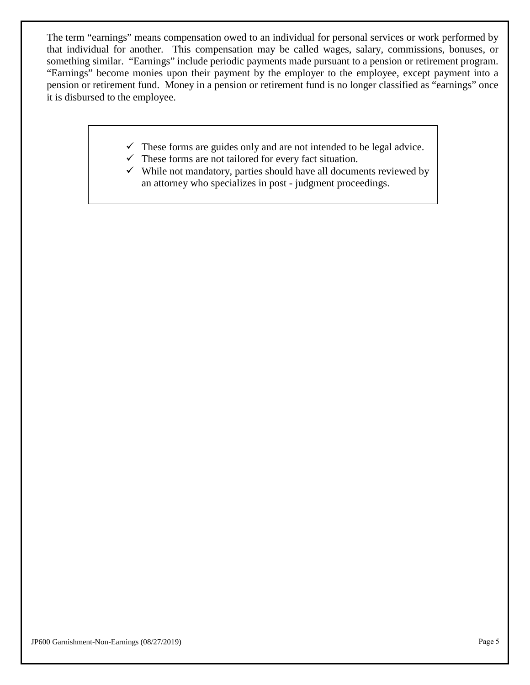The term "earnings" means compensation owed to an individual for personal services or work performed by that individual for another. This compensation may be called wages, salary, commissions, bonuses, or something similar. "Earnings" include periodic payments made pursuant to a pension or retirement program. "Earnings" become monies upon their payment by the employer to the employee, except payment into a pension or retirement fund. Money in a pension or retirement fund is no longer classified as "earnings" once it is disbursed to the employee.

- $\checkmark$  These forms are guides only and are not intended to be legal advice.
- $\checkmark$  These forms are not tailored for every fact situation.
- $\checkmark$  While not mandatory, parties should have all documents reviewed by an attorney who specializes in post - judgment proceedings.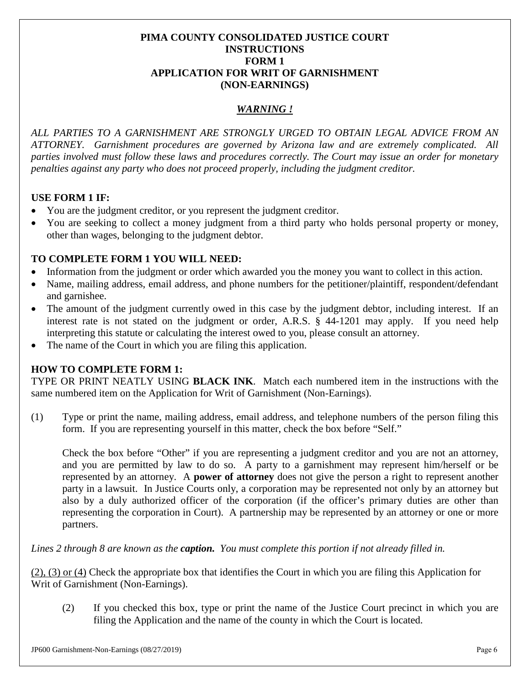### **PIMA COUNTY CONSOLIDATED JUSTICE COURT INSTRUCTIONS FORM 1 APPLICATION FOR WRIT OF GARNISHMENT (NON-EARNINGS)**

# *WARNING !*

*ALL PARTIES TO A GARNISHMENT ARE STRONGLY URGED TO OBTAIN LEGAL ADVICE FROM AN ATTORNEY. Garnishment procedures are governed by Arizona law and are extremely complicated. All parties involved must follow these laws and procedures correctly. The Court may issue an order for monetary penalties against any party who does not proceed properly, including the judgment creditor.* 

### **USE FORM 1 IF:**

- You are the judgment creditor, or you represent the judgment creditor.
- You are seeking to collect a money judgment from a third party who holds personal property or money, other than wages, belonging to the judgment debtor.

### **TO COMPLETE FORM 1 YOU WILL NEED:**

- Information from the judgment or order which awarded you the money you want to collect in this action.
- Name, mailing address, email address, and phone numbers for the petitioner/plaintiff, respondent/defendant and garnishee.
- The amount of the judgment currently owed in this case by the judgment debtor, including interest. If an interest rate is not stated on the judgment or order, A.R.S. § 44-1201 may apply. If you need help interpreting this statute or calculating the interest owed to you, please consult an attorney.
- The name of the Court in which you are filing this application.

## **HOW TO COMPLETE FORM 1:**

TYPE OR PRINT NEATLY USING **BLACK INK**. Match each numbered item in the instructions with the same numbered item on the Application for Writ of Garnishment (Non-Earnings).

(1) Type or print the name, mailing address, email address, and telephone numbers of the person filing this form. If you are representing yourself in this matter, check the box before "Self."

Check the box before "Other" if you are representing a judgment creditor and you are not an attorney, and you are permitted by law to do so. A party to a garnishment may represent him/herself or be represented by an attorney. A **power of attorney** does not give the person a right to represent another party in a lawsuit. In Justice Courts only, a corporation may be represented not only by an attorney but also by a duly authorized officer of the corporation (if the officer's primary duties are other than representing the corporation in Court). A partnership may be represented by an attorney or one or more partners.

*Lines 2 through 8 are known as the caption. You must complete this portion if not already filled in.* 

(2), (3) or (4) Check the appropriate box that identifies the Court in which you are filing this Application for Writ of Garnishment (Non-Earnings).

(2) If you checked this box, type or print the name of the Justice Court precinct in which you are filing the Application and the name of the county in which the Court is located.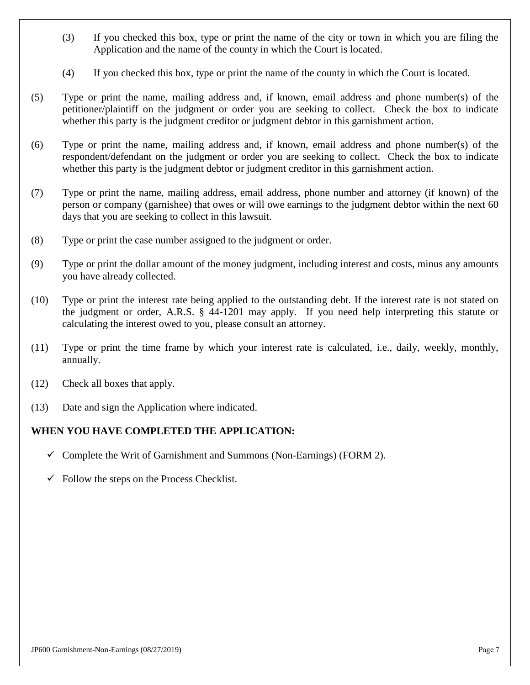- (3) If you checked this box, type or print the name of the city or town in which you are filing the Application and the name of the county in which the Court is located.
- (4) If you checked this box, type or print the name of the county in which the Court is located.
- (5) Type or print the name, mailing address and, if known, email address and phone number(s) of the petitioner/plaintiff on the judgment or order you are seeking to collect. Check the box to indicate whether this party is the judgment creditor or judgment debtor in this garnishment action.
- (6) Type or print the name, mailing address and, if known, email address and phone number(s) of the respondent/defendant on the judgment or order you are seeking to collect. Check the box to indicate whether this party is the judgment debtor or judgment creditor in this garnishment action.
- (7) Type or print the name, mailing address, email address, phone number and attorney (if known) of the person or company (garnishee) that owes or will owe earnings to the judgment debtor within the next 60 days that you are seeking to collect in this lawsuit.
- (8) Type or print the case number assigned to the judgment or order.
- (9) Type or print the dollar amount of the money judgment, including interest and costs, minus any amounts you have already collected.
- (10) Type or print the interest rate being applied to the outstanding debt. If the interest rate is not stated on the judgment or order, A.R.S. § 44-1201 may apply. If you need help interpreting this statute or calculating the interest owed to you, please consult an attorney.
- (11) Type or print the time frame by which your interest rate is calculated, i.e., daily, weekly, monthly, annually.
- (12) Check all boxes that apply.
- (13) Date and sign the Application where indicated.

## **WHEN YOU HAVE COMPLETED THE APPLICATION:**

- $\checkmark$  Complete the Writ of Garnishment and Summons (Non-Earnings) (FORM 2).
- $\checkmark$  Follow the steps on the Process Checklist.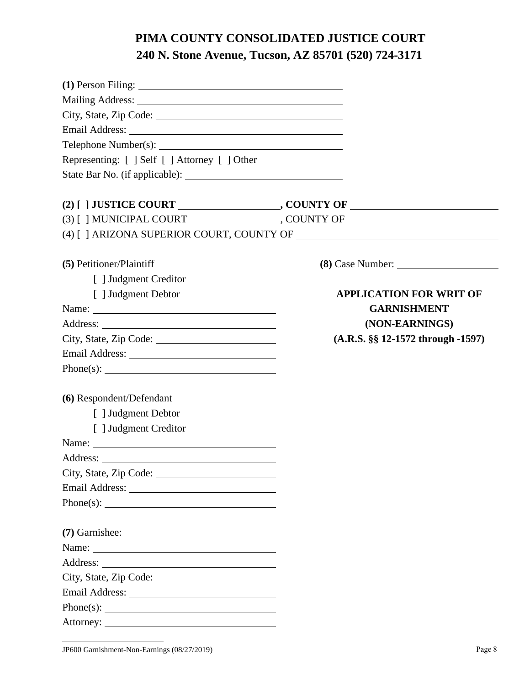# **PIMA COUNTY CONSOLIDATED JUSTICE COURT 240 N. Stone Avenue, Tucson, AZ 85701 (520) 724-3171**

| $(1)$ Person Filing: $\qquad \qquad$                                                                                                                                                                                                                                                                                                                                                                          |                                         |
|---------------------------------------------------------------------------------------------------------------------------------------------------------------------------------------------------------------------------------------------------------------------------------------------------------------------------------------------------------------------------------------------------------------|-----------------------------------------|
|                                                                                                                                                                                                                                                                                                                                                                                                               |                                         |
|                                                                                                                                                                                                                                                                                                                                                                                                               |                                         |
|                                                                                                                                                                                                                                                                                                                                                                                                               |                                         |
|                                                                                                                                                                                                                                                                                                                                                                                                               |                                         |
| Representing: [ ] Self [ ] Attorney [ ] Other                                                                                                                                                                                                                                                                                                                                                                 |                                         |
|                                                                                                                                                                                                                                                                                                                                                                                                               |                                         |
|                                                                                                                                                                                                                                                                                                                                                                                                               |                                         |
|                                                                                                                                                                                                                                                                                                                                                                                                               |                                         |
|                                                                                                                                                                                                                                                                                                                                                                                                               |                                         |
|                                                                                                                                                                                                                                                                                                                                                                                                               |                                         |
| (5) Petitioner/Plaintiff                                                                                                                                                                                                                                                                                                                                                                                      | (8) Case Number:                        |
| [ ] Judgment Creditor                                                                                                                                                                                                                                                                                                                                                                                         |                                         |
| [ ] Judgment Debtor                                                                                                                                                                                                                                                                                                                                                                                           | <b>APPLICATION FOR WRIT OF</b>          |
| Name: $\frac{1}{\sqrt{1-\frac{1}{2}}\sqrt{1-\frac{1}{2}}\sqrt{1-\frac{1}{2}}\sqrt{1-\frac{1}{2}}\sqrt{1-\frac{1}{2}}\sqrt{1-\frac{1}{2}}\sqrt{1-\frac{1}{2}}\sqrt{1-\frac{1}{2}}\sqrt{1-\frac{1}{2}}\sqrt{1-\frac{1}{2}}\sqrt{1-\frac{1}{2}}\sqrt{1-\frac{1}{2}}\sqrt{1-\frac{1}{2}}\sqrt{1-\frac{1}{2}}\sqrt{1-\frac{1}{2}}\sqrt{1-\frac{1}{2}}\sqrt{1-\frac{1}{2}}\sqrt{1-\frac{1}{2}}\sqrt{1-\frac{1}{2}}$ | <b>GARNISHMENT</b>                      |
|                                                                                                                                                                                                                                                                                                                                                                                                               | (NON-EARNINGS)                          |
| City, State, Zip Code: 2000 Colletion 2000 City, State, Zip Code:                                                                                                                                                                                                                                                                                                                                             | $(A.R.S. \S\S 12-1572$ through $-1597)$ |
|                                                                                                                                                                                                                                                                                                                                                                                                               |                                         |
|                                                                                                                                                                                                                                                                                                                                                                                                               |                                         |
|                                                                                                                                                                                                                                                                                                                                                                                                               |                                         |
| (6) Respondent/Defendant                                                                                                                                                                                                                                                                                                                                                                                      |                                         |
| [ ] Judgment Debtor                                                                                                                                                                                                                                                                                                                                                                                           |                                         |
| [ ] Judgment Creditor                                                                                                                                                                                                                                                                                                                                                                                         |                                         |
| Name: Name and the set of the set of the set of the set of the set of the set of the set of the set of the set of the set of the set of the set of the set of the set of the set of the set of the set of the set of the set o                                                                                                                                                                                |                                         |
|                                                                                                                                                                                                                                                                                                                                                                                                               |                                         |
| City, State, Zip Code:                                                                                                                                                                                                                                                                                                                                                                                        |                                         |
|                                                                                                                                                                                                                                                                                                                                                                                                               |                                         |
|                                                                                                                                                                                                                                                                                                                                                                                                               |                                         |
| (7) Garnishee:                                                                                                                                                                                                                                                                                                                                                                                                |                                         |
|                                                                                                                                                                                                                                                                                                                                                                                                               |                                         |
|                                                                                                                                                                                                                                                                                                                                                                                                               |                                         |
|                                                                                                                                                                                                                                                                                                                                                                                                               |                                         |
|                                                                                                                                                                                                                                                                                                                                                                                                               |                                         |
|                                                                                                                                                                                                                                                                                                                                                                                                               |                                         |
|                                                                                                                                                                                                                                                                                                                                                                                                               |                                         |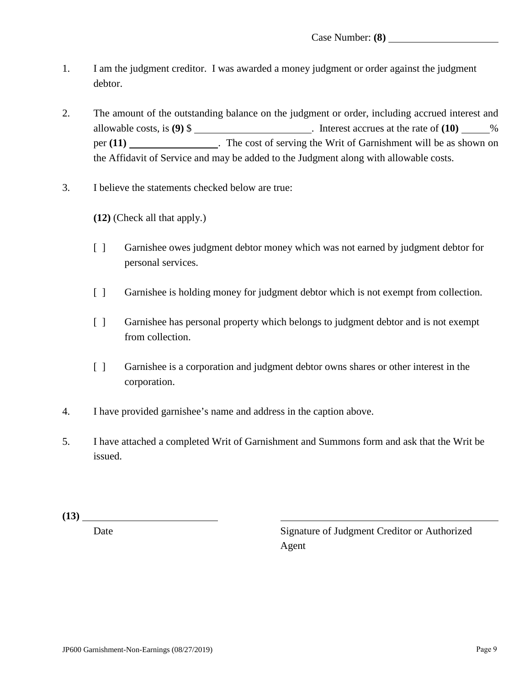- 1. I am the judgment creditor. I was awarded a money judgment or order against the judgment debtor.
- 2. The amount of the outstanding balance on the judgment or order, including accrued interest and allowable costs, is  $(9)$  \$ per **(11)** . The cost of serving the Writ of Garnishment will be as shown on the Affidavit of Service and may be added to the Judgment along with allowable costs.
- 3. I believe the statements checked below are true:

**(12)** (Check all that apply.)

- [ ] Garnishee owes judgment debtor money which was not earned by judgment debtor for personal services.
- [ ] Garnishee is holding money for judgment debtor which is not exempt from collection.
- [ ] Garnishee has personal property which belongs to judgment debtor and is not exempt from collection.
- [ ] Garnishee is a corporation and judgment debtor owns shares or other interest in the corporation.
- 4. I have provided garnishee's name and address in the caption above.
- 5. I have attached a completed Writ of Garnishment and Summons form and ask that the Writ be issued.

| $\ddot{\phantom{0}}$ |  |  |
|----------------------|--|--|
|                      |  |  |

Date Signature of Judgment Creditor or Authorized Agent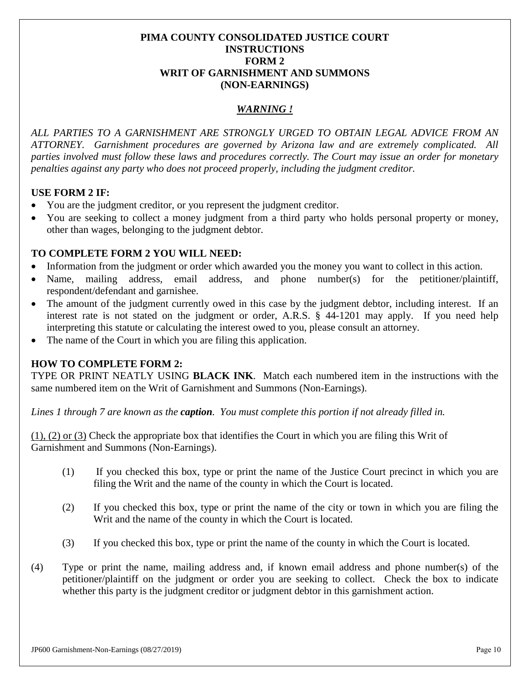#### **PIMA COUNTY CONSOLIDATED JUSTICE COURT INSTRUCTIONS FORM 2 WRIT OF GARNISHMENT AND SUMMONS (NON-EARNINGS)**

# *WARNING !*

*ALL PARTIES TO A GARNISHMENT ARE STRONGLY URGED TO OBTAIN LEGAL ADVICE FROM AN ATTORNEY. Garnishment procedures are governed by Arizona law and are extremely complicated. All parties involved must follow these laws and procedures correctly. The Court may issue an order for monetary penalties against any party who does not proceed properly, including the judgment creditor.* 

## **USE FORM 2 IF:**

- You are the judgment creditor, or you represent the judgment creditor.
- You are seeking to collect a money judgment from a third party who holds personal property or money, other than wages, belonging to the judgment debtor.

### **TO COMPLETE FORM 2 YOU WILL NEED:**

- Information from the judgment or order which awarded you the money you want to collect in this action.
- Name, mailing address, email address, and phone number(s) for the petitioner/plaintiff, respondent/defendant and garnishee.
- The amount of the judgment currently owed in this case by the judgment debtor, including interest. If an interest rate is not stated on the judgment or order, A.R.S. § 44-1201 may apply. If you need help interpreting this statute or calculating the interest owed to you, please consult an attorney.
- The name of the Court in which you are filing this application.

## **HOW TO COMPLETE FORM 2:**

TYPE OR PRINT NEATLY USING **BLACK INK**. Match each numbered item in the instructions with the same numbered item on the Writ of Garnishment and Summons (Non-Earnings).

*Lines 1 through 7 are known as the caption. You must complete this portion if not already filled in.* 

(1), (2) or (3) Check the appropriate box that identifies the Court in which you are filing this Writ of Garnishment and Summons (Non-Earnings).

- (1) If you checked this box, type or print the name of the Justice Court precinct in which you are filing the Writ and the name of the county in which the Court is located.
- (2) If you checked this box, type or print the name of the city or town in which you are filing the Writ and the name of the county in which the Court is located.
- (3) If you checked this box, type or print the name of the county in which the Court is located.
- (4) Type or print the name, mailing address and, if known email address and phone number(s) of the petitioner/plaintiff on the judgment or order you are seeking to collect. Check the box to indicate whether this party is the judgment creditor or judgment debtor in this garnishment action.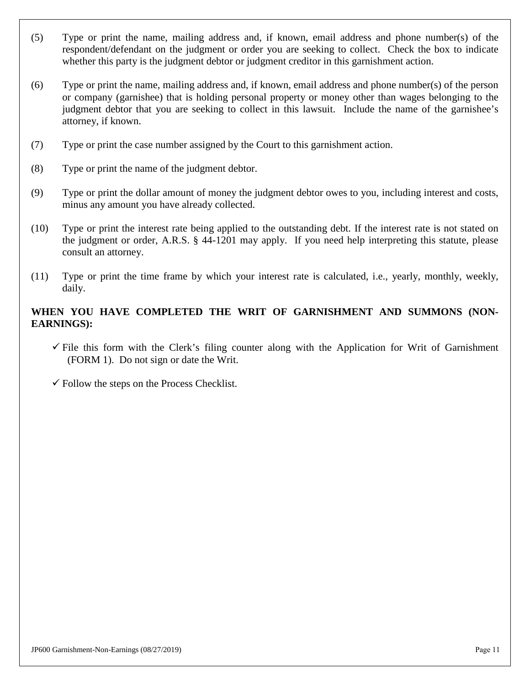- (5) Type or print the name, mailing address and, if known, email address and phone number(s) of the respondent/defendant on the judgment or order you are seeking to collect. Check the box to indicate whether this party is the judgment debtor or judgment creditor in this garnishment action.
- (6) Type or print the name, mailing address and, if known, email address and phone number(s) of the person or company (garnishee) that is holding personal property or money other than wages belonging to the judgment debtor that you are seeking to collect in this lawsuit. Include the name of the garnishee's attorney, if known.
- (7) Type or print the case number assigned by the Court to this garnishment action.
- (8) Type or print the name of the judgment debtor.
- (9) Type or print the dollar amount of money the judgment debtor owes to you, including interest and costs, minus any amount you have already collected.
- (10) Type or print the interest rate being applied to the outstanding debt. If the interest rate is not stated on the judgment or order, A.R.S. § 44-1201 may apply. If you need help interpreting this statute, please consult an attorney.
- (11) Type or print the time frame by which your interest rate is calculated, i.e., yearly, monthly, weekly, daily.

# **WHEN YOU HAVE COMPLETED THE WRIT OF GARNISHMENT AND SUMMONS (NON-EARNINGS):**

 $\checkmark$  File this form with the Clerk's filing counter along with the Application for Writ of Garnishment (FORM 1). Do not sign or date the Writ.

 $\checkmark$  Follow the steps on the Process Checklist.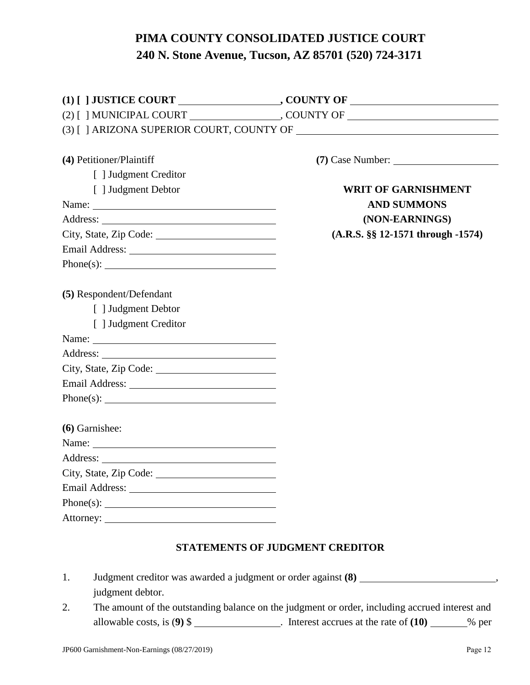# **PIMA COUNTY CONSOLIDATED JUSTICE COURT 240 N. Stone Avenue, Tucson, AZ 85701 (520) 724-3171**

| (4) Petitioner/Plaintiff | $(7)$ Case Number: $\_\_$            |
|--------------------------|--------------------------------------|
| [ ] Judgment Creditor    |                                      |
| [ ] Judgment Debtor      | <b>WRIT OF GARNISHMENT</b>           |
| Name: $\frac{1}{2}$      | <b>AND SUMMONS</b>                   |
|                          | (NON-EARNINGS)                       |
|                          | $(A.R.S. \S\$ 12-1571 through -1574) |
|                          |                                      |
|                          |                                      |
|                          |                                      |
| (5) Respondent/Defendant |                                      |
| [ ] Judgment Debtor      |                                      |
| [ ] Judgment Creditor    |                                      |
|                          |                                      |
|                          |                                      |
|                          |                                      |
|                          |                                      |
|                          |                                      |
| (6) Garnishee:           |                                      |
|                          |                                      |
|                          |                                      |
|                          |                                      |
|                          |                                      |
|                          |                                      |
|                          |                                      |

## **STATEMENTS OF JUDGMENT CREDITOR**

- 1. Judgment creditor was awarded a judgment or order against **(8)** , judgment debtor.
- 2. The amount of the outstanding balance on the judgment or order, including accrued interest and allowable costs, is  $(9)$  \$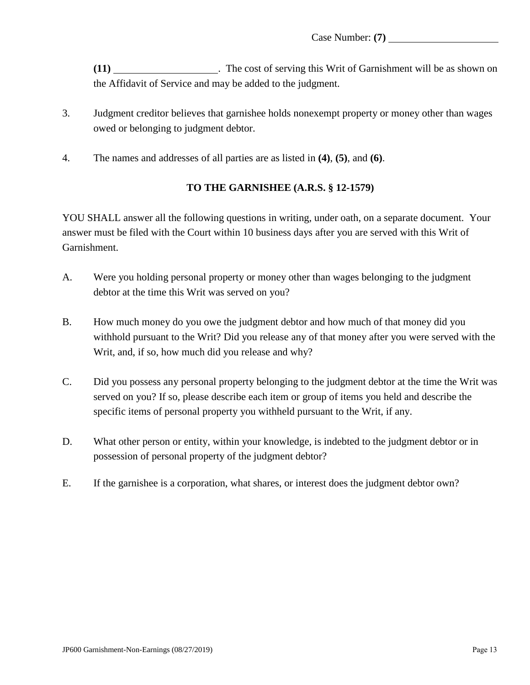**(11)** . The cost of serving this Writ of Garnishment will be as shown on the Affidavit of Service and may be added to the judgment.

- 3. Judgment creditor believes that garnishee holds nonexempt property or money other than wages owed or belonging to judgment debtor.
- 4. The names and addresses of all parties are as listed in **(4)**, **(5)**, and **(6)**.

# **TO THE GARNISHEE (A.R.S. § 12-1579)**

YOU SHALL answer all the following questions in writing, under oath, on a separate document. Your answer must be filed with the Court within 10 business days after you are served with this Writ of Garnishment.

- A. Were you holding personal property or money other than wages belonging to the judgment debtor at the time this Writ was served on you?
- B. How much money do you owe the judgment debtor and how much of that money did you withhold pursuant to the Writ? Did you release any of that money after you were served with the Writ, and, if so, how much did you release and why?
- C. Did you possess any personal property belonging to the judgment debtor at the time the Writ was served on you? If so, please describe each item or group of items you held and describe the specific items of personal property you withheld pursuant to the Writ, if any.
- D. What other person or entity, within your knowledge, is indebted to the judgment debtor or in possession of personal property of the judgment debtor?
- E. If the garnishee is a corporation, what shares, or interest does the judgment debtor own?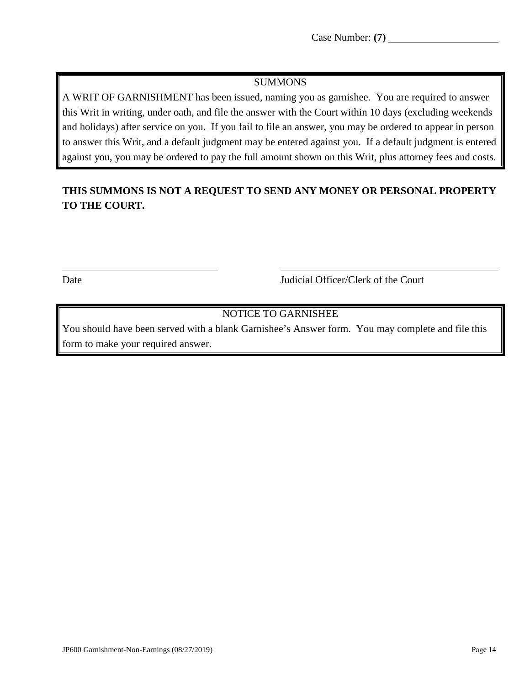Case Number: **(7)**

### **SUMMONS**

A WRIT OF GARNISHMENT has been issued, naming you as garnishee. You are required to answer this Writ in writing, under oath, and file the answer with the Court within 10 days (excluding weekends and holidays) after service on you. If you fail to file an answer, you may be ordered to appear in person to answer this Writ, and a default judgment may be entered against you. If a default judgment is entered against you, you may be ordered to pay the full amount shown on this Writ, plus attorney fees and costs.

# **THIS SUMMONS IS NOT A REQUEST TO SEND ANY MONEY OR PERSONAL PROPERTY TO THE COURT.**

Date Judicial Officer/Clerk of the Court

# NOTICE TO GARNISHEE

You should have been served with a blank Garnishee's Answer form. You may complete and file this form to make your required answer.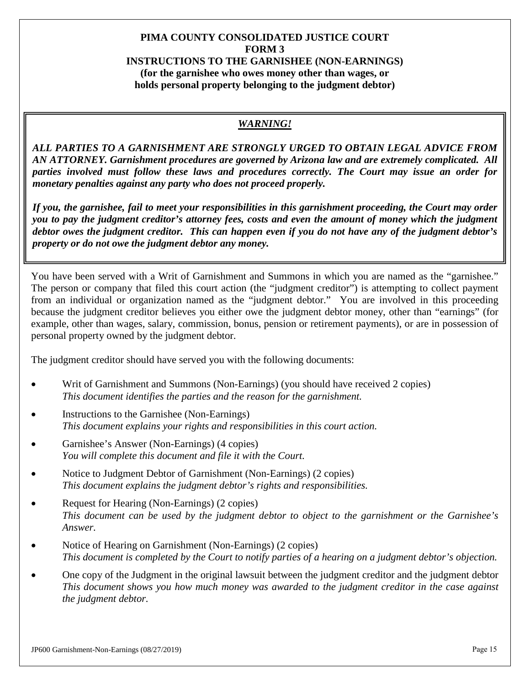### **PIMA COUNTY CONSOLIDATED JUSTICE COURT FORM 3 INSTRUCTIONS TO THE GARNISHEE (NON-EARNINGS) (for the garnishee who owes money other than wages, or holds personal property belonging to the judgment debtor)**

# *WARNING!*

*ALL PARTIES TO A GARNISHMENT ARE STRONGLY URGED TO OBTAIN LEGAL ADVICE FROM AN ATTORNEY. Garnishment procedures are governed by Arizona law and are extremely complicated. All parties involved must follow these laws and procedures correctly. The Court may issue an order for monetary penalties against any party who does not proceed properly.* 

*If you, the garnishee, fail to meet your responsibilities in this garnishment proceeding, the Court may order you to pay the judgment creditor's attorney fees, costs and even the amount of money which the judgment debtor owes the judgment creditor. This can happen even if you do not have any of the judgment debtor's property or do not owe the judgment debtor any money.* 

You have been served with a Writ of Garnishment and Summons in which you are named as the "garnishee." The person or company that filed this court action (the "judgment creditor") is attempting to collect payment from an individual or organization named as the "judgment debtor." You are involved in this proceeding because the judgment creditor believes you either owe the judgment debtor money, other than "earnings" (for example, other than wages, salary, commission, bonus, pension or retirement payments), or are in possession of personal property owned by the judgment debtor.

The judgment creditor should have served you with the following documents:

- Writ of Garnishment and Summons (Non-Earnings) (you should have received 2 copies) *This document identifies the parties and the reason for the garnishment.*
- Instructions to the Garnishee (Non-Earnings) *This document explains your rights and responsibilities in this court action.*
- Garnishee's Answer (Non-Earnings) (4 copies) *You will complete this document and file it with the Court.*
- Notice to Judgment Debtor of Garnishment (Non-Earnings) (2 copies) *This document explains the judgment debtor's rights and responsibilities.*
- Request for Hearing (Non-Earnings) (2 copies) *This document can be used by the judgment debtor to object to the garnishment or the Garnishee's Answer.*
- Notice of Hearing on Garnishment (Non-Earnings) (2 copies) *This document is completed by the Court to notify parties of a hearing on a judgment debtor's objection.*
- One copy of the Judgment in the original lawsuit between the judgment creditor and the judgment debtor *This document shows you how much money was awarded to the judgment creditor in the case against the judgment debtor.*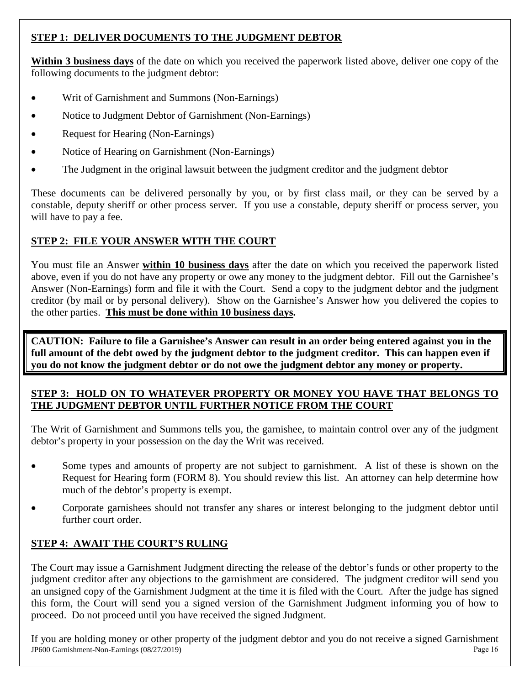# **STEP 1: DELIVER DOCUMENTS TO THE JUDGMENT DEBTOR**

**Within 3 business days** of the date on which you received the paperwork listed above, deliver one copy of the following documents to the judgment debtor:

- Writ of Garnishment and Summons (Non-Earnings)
- Notice to Judgment Debtor of Garnishment (Non-Earnings)
- Request for Hearing (Non-Earnings)
- Notice of Hearing on Garnishment (Non-Earnings)
- The Judgment in the original lawsuit between the judgment creditor and the judgment debtor

These documents can be delivered personally by you, or by first class mail, or they can be served by a constable, deputy sheriff or other process server. If you use a constable, deputy sheriff or process server, you will have to pay a fee.

# **STEP 2: FILE YOUR ANSWER WITH THE COURT**

You must file an Answer **within 10 business days** after the date on which you received the paperwork listed above, even if you do not have any property or owe any money to the judgment debtor. Fill out the Garnishee's Answer (Non-Earnings) form and file it with the Court. Send a copy to the judgment debtor and the judgment creditor (by mail or by personal delivery). Show on the Garnishee's Answer how you delivered the copies to the other parties. **This must be done within 10 business days.** 

**CAUTION: Failure to file a Garnishee's Answer can result in an order being entered against you in the full amount of the debt owed by the judgment debtor to the judgment creditor. This can happen even if you do not know the judgment debtor or do not owe the judgment debtor any money or property.**

# **STEP 3: HOLD ON TO WHATEVER PROPERTY OR MONEY YOU HAVE THAT BELONGS TO THE JUDGMENT DEBTOR UNTIL FURTHER NOTICE FROM THE COURT**

The Writ of Garnishment and Summons tells you, the garnishee, to maintain control over any of the judgment debtor's property in your possession on the day the Writ was received.

- Some types and amounts of property are not subject to garnishment. A list of these is shown on the Request for Hearing form (FORM 8). You should review this list. An attorney can help determine how much of the debtor's property is exempt.
- Corporate garnishees should not transfer any shares or interest belonging to the judgment debtor until further court order.

# **STEP 4: AWAIT THE COURT'S RULING**

The Court may issue a Garnishment Judgment directing the release of the debtor's funds or other property to the judgment creditor after any objections to the garnishment are considered. The judgment creditor will send you an unsigned copy of the Garnishment Judgment at the time it is filed with the Court. After the judge has signed this form, the Court will send you a signed version of the Garnishment Judgment informing you of how to proceed. Do not proceed until you have received the signed Judgment.

JP600 Garnishment-Non-Earnings (08/27/2019) If you are holding money or other property of the judgment debtor and you do not receive a signed Garnishment Page 16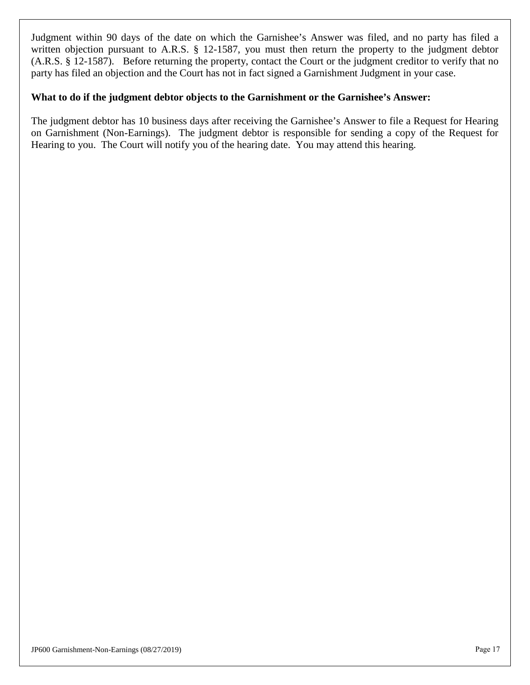Judgment within 90 days of the date on which the Garnishee's Answer was filed, and no party has filed a written objection pursuant to A.R.S. § 12-1587, you must then return the property to the judgment debtor (A.R.S. § 12-1587). Before returning the property, contact the Court or the judgment creditor to verify that no party has filed an objection and the Court has not in fact signed a Garnishment Judgment in your case.

### **What to do if the judgment debtor objects to the Garnishment or the Garnishee's Answer:**

The judgment debtor has 10 business days after receiving the Garnishee's Answer to file a Request for Hearing on Garnishment (Non-Earnings). The judgment debtor is responsible for sending a copy of the Request for Hearing to you. The Court will notify you of the hearing date. You may attend this hearing.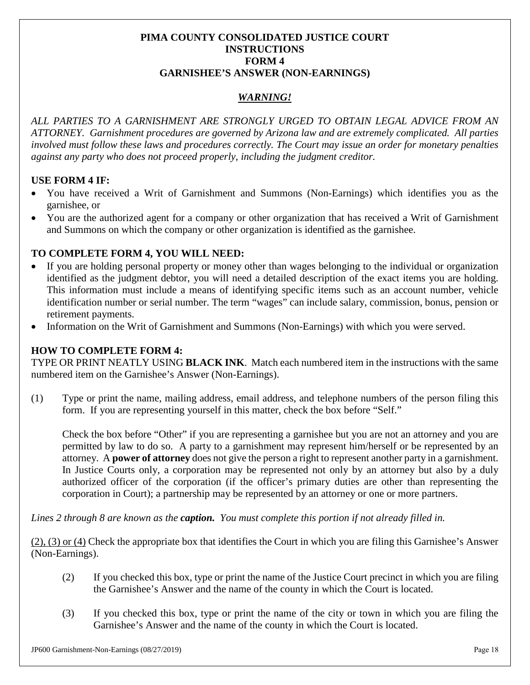### **PIMA COUNTY CONSOLIDATED JUSTICE COURT INSTRUCTIONS FORM 4 GARNISHEE'S ANSWER (NON-EARNINGS)**

# *WARNING!*

*ALL PARTIES TO A GARNISHMENT ARE STRONGLY URGED TO OBTAIN LEGAL ADVICE FROM AN ATTORNEY. Garnishment procedures are governed by Arizona law and are extremely complicated. All parties involved must follow these laws and procedures correctly. The Court may issue an order for monetary penalties against any party who does not proceed properly, including the judgment creditor.* 

## **USE FORM 4 IF:**

- You have received a Writ of Garnishment and Summons (Non-Earnings) which identifies you as the garnishee, or
- You are the authorized agent for a company or other organization that has received a Writ of Garnishment and Summons on which the company or other organization is identified as the garnishee.

# **TO COMPLETE FORM 4, YOU WILL NEED:**

- If you are holding personal property or money other than wages belonging to the individual or organization identified as the judgment debtor, you will need a detailed description of the exact items you are holding. This information must include a means of identifying specific items such as an account number, vehicle identification number or serial number. The term "wages" can include salary, commission, bonus, pension or retirement payments.
- Information on the Writ of Garnishment and Summons (Non-Earnings) with which you were served.

## **HOW TO COMPLETE FORM 4:**

TYPE OR PRINT NEATLY USING **BLACK INK**. Match each numbered item in the instructions with the same numbered item on the Garnishee's Answer (Non-Earnings).

(1) Type or print the name, mailing address, email address, and telephone numbers of the person filing this form. If you are representing yourself in this matter, check the box before "Self."

Check the box before "Other" if you are representing a garnishee but you are not an attorney and you are permitted by law to do so. A party to a garnishment may represent him/herself or be represented by an attorney. A **power of attorney** does not give the person a right to represent another party in a garnishment. In Justice Courts only, a corporation may be represented not only by an attorney but also by a duly authorized officer of the corporation (if the officer's primary duties are other than representing the corporation in Court); a partnership may be represented by an attorney or one or more partners.

*Lines 2 through 8 are known as the caption. You must complete this portion if not already filled in.* 

(2), (3) or (4) Check the appropriate box that identifies the Court in which you are filing this Garnishee's Answer (Non-Earnings).

- (2) If you checked this box, type or print the name of the Justice Court precinct in which you are filing the Garnishee's Answer and the name of the county in which the Court is located.
- (3) If you checked this box, type or print the name of the city or town in which you are filing the Garnishee's Answer and the name of the county in which the Court is located.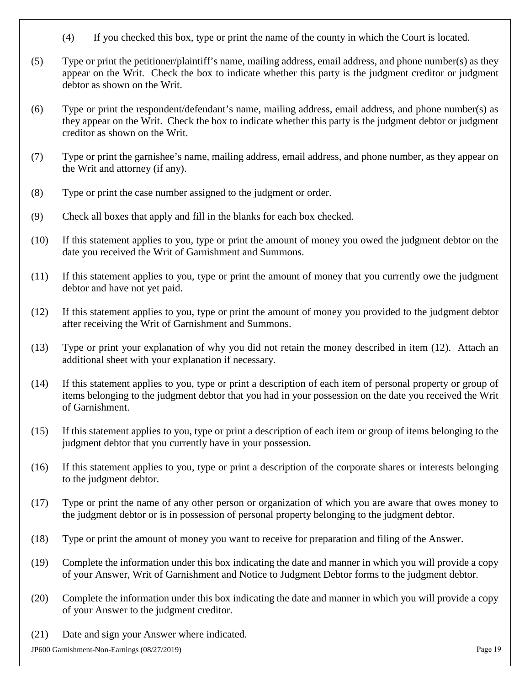- (4) If you checked this box, type or print the name of the county in which the Court is located.
- (5) Type or print the petitioner/plaintiff's name, mailing address, email address, and phone number(s) as they appear on the Writ. Check the box to indicate whether this party is the judgment creditor or judgment debtor as shown on the Writ.
- (6) Type or print the respondent/defendant's name, mailing address, email address, and phone number(s) as they appear on the Writ. Check the box to indicate whether this party is the judgment debtor or judgment creditor as shown on the Writ.
- (7) Type or print the garnishee's name, mailing address, email address, and phone number, as they appear on the Writ and attorney (if any).
- (8) Type or print the case number assigned to the judgment or order.
- (9) Check all boxes that apply and fill in the blanks for each box checked.
- (10) If this statement applies to you, type or print the amount of money you owed the judgment debtor on the date you received the Writ of Garnishment and Summons.
- (11) If this statement applies to you, type or print the amount of money that you currently owe the judgment debtor and have not yet paid.
- (12) If this statement applies to you, type or print the amount of money you provided to the judgment debtor after receiving the Writ of Garnishment and Summons.
- (13) Type or print your explanation of why you did not retain the money described in item (12). Attach an additional sheet with your explanation if necessary.
- (14) If this statement applies to you, type or print a description of each item of personal property or group of items belonging to the judgment debtor that you had in your possession on the date you received the Writ of Garnishment.
- (15) If this statement applies to you, type or print a description of each item or group of items belonging to the judgment debtor that you currently have in your possession.
- (16) If this statement applies to you, type or print a description of the corporate shares or interests belonging to the judgment debtor.
- (17) Type or print the name of any other person or organization of which you are aware that owes money to the judgment debtor or is in possession of personal property belonging to the judgment debtor.
- (18) Type or print the amount of money you want to receive for preparation and filing of the Answer.
- (19) Complete the information under this box indicating the date and manner in which you will provide a copy of your Answer, Writ of Garnishment and Notice to Judgment Debtor forms to the judgment debtor.
- (20) Complete the information under this box indicating the date and manner in which you will provide a copy of your Answer to the judgment creditor.
- (21) Date and sign your Answer where indicated.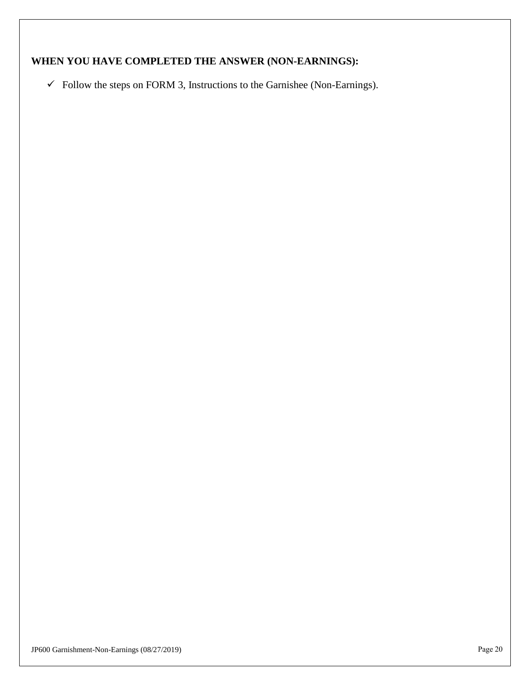# **WHEN YOU HAVE COMPLETED THE ANSWER (NON-EARNINGS):**

 $\checkmark$  Follow the steps on FORM 3, Instructions to the Garnishee (Non-Earnings).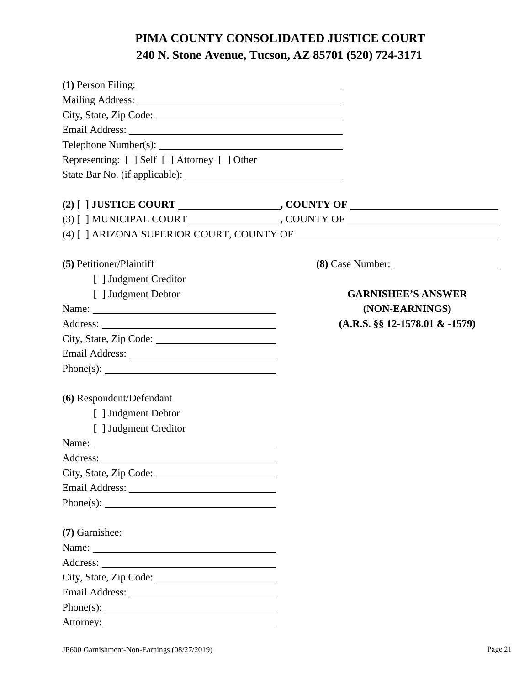# **PIMA COUNTY CONSOLIDATED JUSTICE COURT 240 N. Stone Avenue, Tucson, AZ 85701 (520) 724-3171**

| $(1)$ Person Filing: $\qquad \qquad$                              |                                     |
|-------------------------------------------------------------------|-------------------------------------|
|                                                                   |                                     |
|                                                                   |                                     |
|                                                                   |                                     |
|                                                                   |                                     |
| Representing: [ ] Self [ ] Attorney [ ] Other                     |                                     |
|                                                                   |                                     |
|                                                                   |                                     |
|                                                                   |                                     |
|                                                                   |                                     |
|                                                                   |                                     |
| (5) Petitioner/Plaintiff                                          | (8) Case Number:                    |
| [ ] Judgment Creditor                                             |                                     |
| [ ] Judgment Debtor                                               | <b>GARNISHEE'S ANSWER</b>           |
|                                                                   | (NON-EARNINGS)                      |
|                                                                   | $(A.R.S. \S\S 12-1578.01 \& -1579)$ |
| City, State, Zip Code: 2000 Colletion 2000 City, State, Zip Code: |                                     |
|                                                                   |                                     |
|                                                                   |                                     |
|                                                                   |                                     |
| (6) Respondent/Defendant                                          |                                     |
| [ ] Judgment Debtor                                               |                                     |
| [ ] Judgment Creditor                                             |                                     |
| Name:                                                             |                                     |
|                                                                   |                                     |
| City, State, Zip Code: 2000                                       |                                     |
|                                                                   |                                     |
|                                                                   |                                     |
| (7) Garnishee:                                                    |                                     |
|                                                                   |                                     |
|                                                                   |                                     |
|                                                                   |                                     |
|                                                                   |                                     |
|                                                                   |                                     |
|                                                                   |                                     |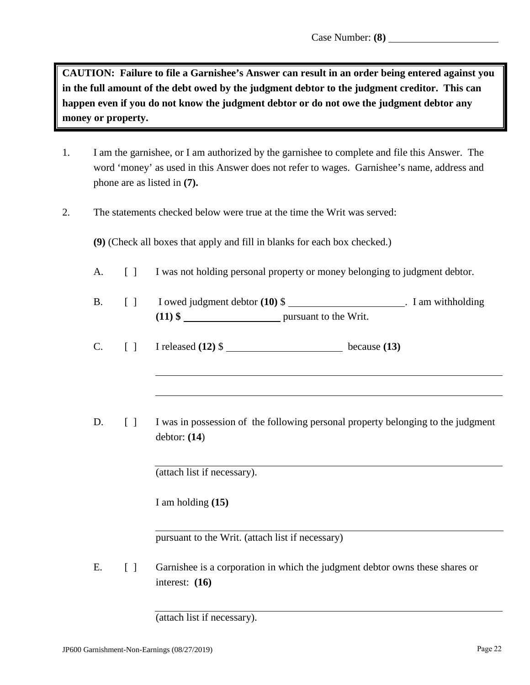**CAUTION: Failure to file a Garnishee's Answer can result in an order being entered against you in the full amount of the debt owed by the judgment debtor to the judgment creditor. This can happen even if you do not know the judgment debtor or do not owe the judgment debtor any money or property.**

- 1. I am the garnishee, or I am authorized by the garnishee to complete and file this Answer. The word 'money' as used in this Answer does not refer to wages. Garnishee's name, address and phone are as listed in **(7).**
- 2. The statements checked below were true at the time the Writ was served:

**(9)** (Check all boxes that apply and fill in blanks for each box checked.)

- A. [ ] I was not holding personal property or money belonging to judgment debtor.
- B. [ ] I owed judgment debtor **(10)** \$ . I am withholding **(11) \$** pursuant to the Writ.

C. [ ] I released **(12)** \$ because **(13)**

D. [ ] I was in possession of the following personal property belonging to the judgment debtor: **(14**)

(attach list if necessary).

I am holding **(15)** 

pursuant to the Writ. (attach list if necessary)

E. [ ] Garnishee is a corporation in which the judgment debtor owns these shares or interest: **(16)**

(attach list if necessary).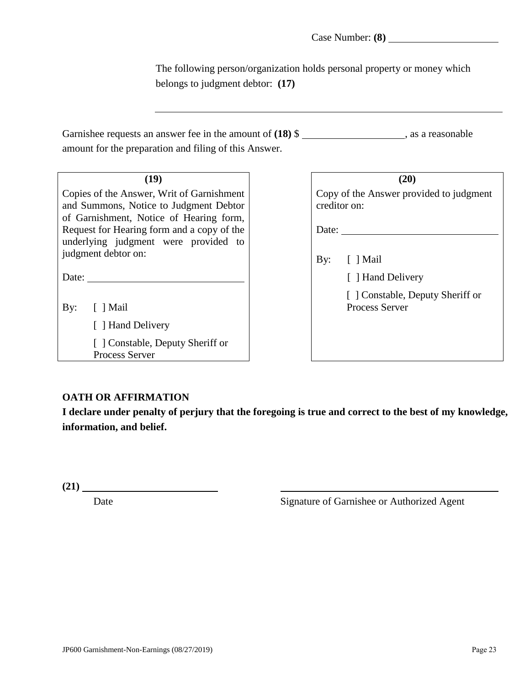Case Number: **(8)**

The following person/organization holds personal property or money which belongs to judgment debtor: **(17)**

| Garnishee requests an answer fee in the amount of $(18)$ \$ | , as a reasonable |
|-------------------------------------------------------------|-------------------|
| amount for the preparation and filing of this Answer.       |                   |

Copies of the Answer, Writ of Garnishment and Summons, Notice to Judgment Debtor of Garnishment, Notice of Hearing form, Request for Hearing form and a copy of the underlying judgment were provided to judgment debtor on:

Date:

By: [ ] Mail

[ ] Hand Delivery

[ ] Constable, Deputy Sheriff or Process Server

| (19)                                             |              | (20)                                                      |
|--------------------------------------------------|--------------|-----------------------------------------------------------|
| er, Writ of Garnishment                          |              | Copy of the Answer provided to judgment                   |
| ice to Judgment Debtor                           | creditor on: |                                                           |
| otice of Hearing form,                           |              |                                                           |
| t form and a copy of the<br>ent were provided to | Date:        |                                                           |
|                                                  | By:          | $\lceil$   Mail                                           |
|                                                  |              | [ ] Hand Delivery                                         |
|                                                  |              | [ ] Constable, Deputy Sheriff or<br><b>Process Server</b> |
| livery                                           |              |                                                           |
| e, Deputy Sheriff or                             |              |                                                           |
| 7er                                              |              |                                                           |

# **OATH OR AFFIRMATION**

**I declare under penalty of perjury that the foregoing is true and correct to the best of my knowledge, information, and belief.** 

**(21)**

Date Signature of Garnishee or Authorized Agent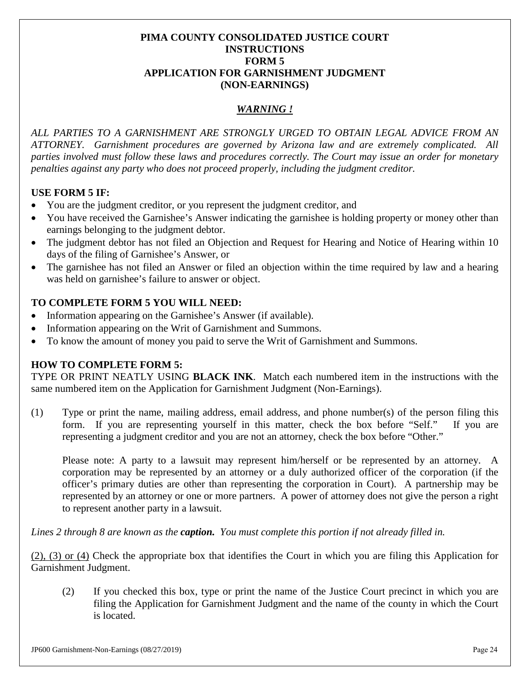### **PIMA COUNTY CONSOLIDATED JUSTICE COURT INSTRUCTIONS FORM 5 APPLICATION FOR GARNISHMENT JUDGMENT (NON-EARNINGS)**

# *WARNING !*

*ALL PARTIES TO A GARNISHMENT ARE STRONGLY URGED TO OBTAIN LEGAL ADVICE FROM AN ATTORNEY. Garnishment procedures are governed by Arizona law and are extremely complicated. All parties involved must follow these laws and procedures correctly. The Court may issue an order for monetary penalties against any party who does not proceed properly, including the judgment creditor.* 

### **USE FORM 5 IF:**

- You are the judgment creditor, or you represent the judgment creditor, and
- You have received the Garnishee's Answer indicating the garnishee is holding property or money other than earnings belonging to the judgment debtor.
- The judgment debtor has not filed an Objection and Request for Hearing and Notice of Hearing within 10 days of the filing of Garnishee's Answer, or
- The garnishee has not filed an Answer or filed an objection within the time required by law and a hearing was held on garnishee's failure to answer or object.

### **TO COMPLETE FORM 5 YOU WILL NEED:**

- Information appearing on the Garnishee's Answer (if available).
- Information appearing on the Writ of Garnishment and Summons.
- To know the amount of money you paid to serve the Writ of Garnishment and Summons.

## **HOW TO COMPLETE FORM 5:**

TYPE OR PRINT NEATLY USING **BLACK INK**. Match each numbered item in the instructions with the same numbered item on the Application for Garnishment Judgment (Non-Earnings).

(1) Type or print the name, mailing address, email address, and phone number(s) of the person filing this form. If you are representing yourself in this matter, check the box before "Self." If you are representing a judgment creditor and you are not an attorney, check the box before "Other."

Please note: A party to a lawsuit may represent him/herself or be represented by an attorney. A corporation may be represented by an attorney or a duly authorized officer of the corporation (if the officer's primary duties are other than representing the corporation in Court). A partnership may be represented by an attorney or one or more partners. A power of attorney does not give the person a right to represent another party in a lawsuit.

*Lines 2 through 8 are known as the caption. You must complete this portion if not already filled in.* 

(2), (3) or (4) Check the appropriate box that identifies the Court in which you are filing this Application for Garnishment Judgment.

(2) If you checked this box, type or print the name of the Justice Court precinct in which you are filing the Application for Garnishment Judgment and the name of the county in which the Court is located.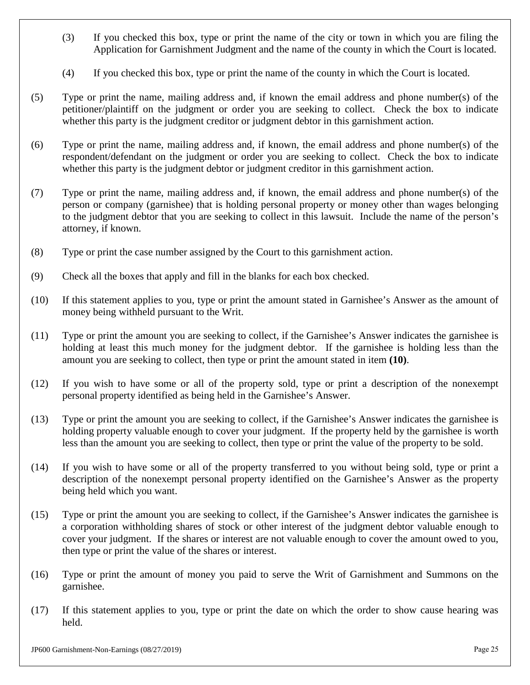- (3) If you checked this box, type or print the name of the city or town in which you are filing the Application for Garnishment Judgment and the name of the county in which the Court is located.
- (4) If you checked this box, type or print the name of the county in which the Court is located.
- (5) Type or print the name, mailing address and, if known the email address and phone number(s) of the petitioner/plaintiff on the judgment or order you are seeking to collect. Check the box to indicate whether this party is the judgment creditor or judgment debtor in this garnishment action.
- (6) Type or print the name, mailing address and, if known, the email address and phone number(s) of the respondent/defendant on the judgment or order you are seeking to collect. Check the box to indicate whether this party is the judgment debtor or judgment creditor in this garnishment action.
- (7) Type or print the name, mailing address and, if known, the email address and phone number(s) of the person or company (garnishee) that is holding personal property or money other than wages belonging to the judgment debtor that you are seeking to collect in this lawsuit. Include the name of the person's attorney, if known.
- (8) Type or print the case number assigned by the Court to this garnishment action.
- (9) Check all the boxes that apply and fill in the blanks for each box checked.
- (10) If this statement applies to you, type or print the amount stated in Garnishee's Answer as the amount of money being withheld pursuant to the Writ.
- (11) Type or print the amount you are seeking to collect, if the Garnishee's Answer indicates the garnishee is holding at least this much money for the judgment debtor. If the garnishee is holding less than the amount you are seeking to collect, then type or print the amount stated in item **(10)**.
- (12) If you wish to have some or all of the property sold, type or print a description of the nonexempt personal property identified as being held in the Garnishee's Answer.
- (13) Type or print the amount you are seeking to collect, if the Garnishee's Answer indicates the garnishee is holding property valuable enough to cover your judgment. If the property held by the garnishee is worth less than the amount you are seeking to collect, then type or print the value of the property to be sold.
- (14) If you wish to have some or all of the property transferred to you without being sold, type or print a description of the nonexempt personal property identified on the Garnishee's Answer as the property being held which you want.
- (15) Type or print the amount you are seeking to collect, if the Garnishee's Answer indicates the garnishee is a corporation withholding shares of stock or other interest of the judgment debtor valuable enough to cover your judgment. If the shares or interest are not valuable enough to cover the amount owed to you, then type or print the value of the shares or interest.
- (16) Type or print the amount of money you paid to serve the Writ of Garnishment and Summons on the garnishee.
- (17) If this statement applies to you, type or print the date on which the order to show cause hearing was held.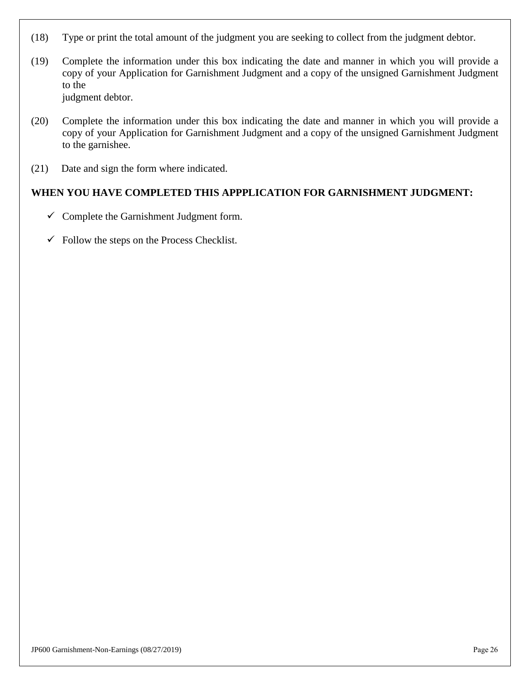- (18) Type or print the total amount of the judgment you are seeking to collect from the judgment debtor.
- (19) Complete the information under this box indicating the date and manner in which you will provide a copy of your Application for Garnishment Judgment and a copy of the unsigned Garnishment Judgment to the judgment debtor.
- (20) Complete the information under this box indicating the date and manner in which you will provide a copy of your Application for Garnishment Judgment and a copy of the unsigned Garnishment Judgment to the garnishee.
- (21) Date and sign the form where indicated.

## **WHEN YOU HAVE COMPLETED THIS APPPLICATION FOR GARNISHMENT JUDGMENT:**

- $\checkmark$  Complete the Garnishment Judgment form.
- $\checkmark$  Follow the steps on the Process Checklist.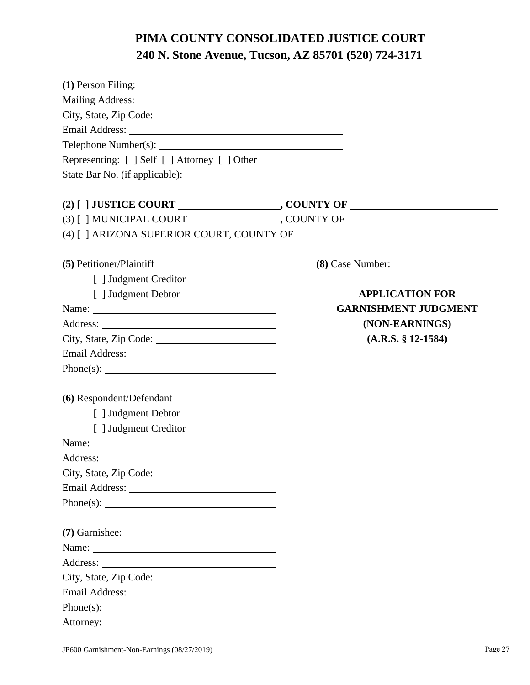# **PIMA COUNTY CONSOLIDATED JUSTICE COURT 240 N. Stone Avenue, Tucson, AZ 85701 (520) 724-3171**

| Telephone Number(s):                          |                             |
|-----------------------------------------------|-----------------------------|
| Representing: [ ] Self [ ] Attorney [ ] Other |                             |
|                                               |                             |
|                                               |                             |
|                                               |                             |
|                                               |                             |
| (5) Petitioner/Plaintiff                      | (8) Case Number:            |
| [ ] Judgment Creditor                         |                             |
| [ ] Judgment Debtor                           | <b>APPLICATION FOR</b>      |
|                                               | <b>GARNISHMENT JUDGMENT</b> |
|                                               | (NON-EARNINGS)              |
| City, State, Zip Code:                        | $(A.R.S. § 12-1584)$        |
|                                               |                             |
|                                               |                             |
| (6) Respondent/Defendant                      |                             |
| [ ] Judgment Debtor                           |                             |
| [ ] Judgment Creditor                         |                             |
|                                               |                             |
|                                               |                             |
|                                               |                             |
|                                               |                             |
|                                               |                             |
| (7) Garnishee:                                |                             |
|                                               |                             |
|                                               |                             |
|                                               |                             |
|                                               |                             |
|                                               |                             |
|                                               |                             |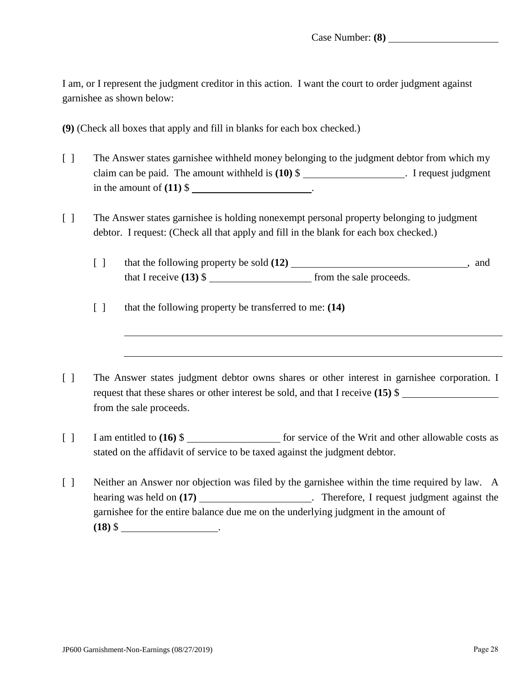I am, or I represent the judgment creditor in this action. I want the court to order judgment against garnishee as shown below:

**(9)** (Check all boxes that apply and fill in blanks for each box checked.)

- [ ] The Answer states garnishee withheld money belonging to the judgment debtor from which my claim can be paid. The amount withheld is (10) \$ \_\_\_\_\_\_\_\_\_\_\_\_\_\_\_\_\_\_\_. I request judgment in the amount of  $(11)$  \$
- [ ] The Answer states garnishee is holding nonexempt personal property belonging to judgment debtor. I request: (Check all that apply and fill in the blank for each box checked.)
	- [ ] that the following property be sold  $(12)$  \_\_\_\_\_\_\_\_\_\_\_\_\_\_\_\_\_\_\_\_\_\_\_\_\_\_\_\_\_\_\_\_\_\_, and that I receive  $(13)$  \$
	- [ ] that the following property be transferred to me: **(14)**
- [ ] The Answer states judgment debtor owns shares or other interest in garnishee corporation. I request that these shares or other interest be sold, and that I receive **(15)** \$ from the sale proceeds.
- [ ] I am entitled to **(16)** \$ stated on the affidavit of service to be taxed against the judgment debtor.
- [ ] Neither an Answer nor objection was filed by the garnishee within the time required by law. A hearing was held on (17) \_\_\_\_\_\_\_\_\_\_\_\_\_\_\_\_\_\_\_\_\_\_\_. Therefore, I request judgment against the garnishee for the entire balance due me on the underlying judgment in the amount of **(18)** \$ .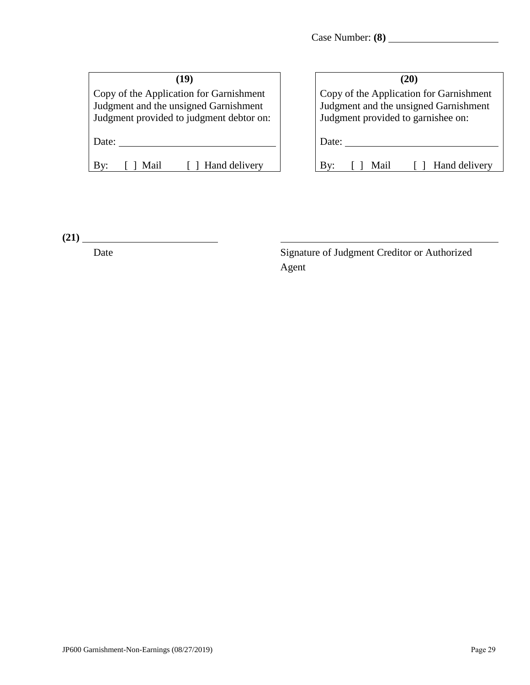| (19)                                                                                                                         | (20)                                                                        |
|------------------------------------------------------------------------------------------------------------------------------|-----------------------------------------------------------------------------|
| Copy of the Application for Garnishment<br>Judgment and the unsigned Garnishment<br>Judgment provided to judgment debtor on: | Copy of the Application<br>Judgment and the unsig<br>Judgment provided to g |
| Date:                                                                                                                        | Date:                                                                       |
| Hand delivery<br>Mail                                                                                                        | Mail                                                                        |

| (20)                                                                                                                   |  |
|------------------------------------------------------------------------------------------------------------------------|--|
| Copy of the Application for Garnishment<br>Judgment and the unsigned Garnishment<br>Judgment provided to garnishee on: |  |
| Date:                                                                                                                  |  |
| Hand delivery<br>Mail<br>$\Box$                                                                                        |  |

**(21)**

Date Signature of Judgment Creditor or Authorized Agent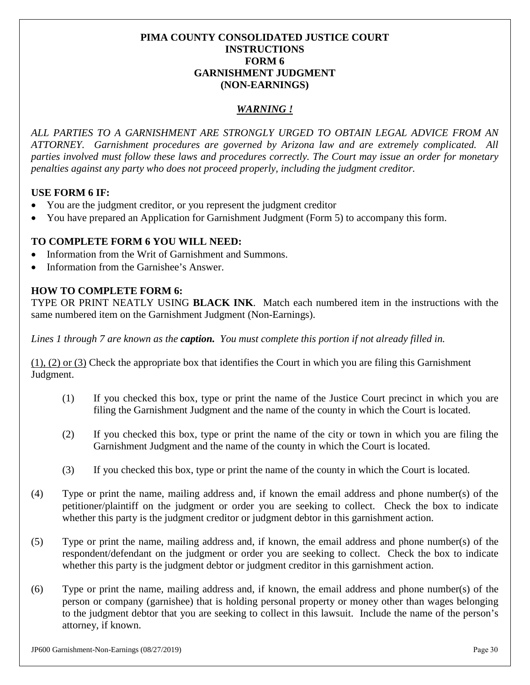#### **PIMA COUNTY CONSOLIDATED JUSTICE COURT INSTRUCTIONS FORM 6 GARNISHMENT JUDGMENT (NON-EARNINGS)**

# *WARNING !*

*ALL PARTIES TO A GARNISHMENT ARE STRONGLY URGED TO OBTAIN LEGAL ADVICE FROM AN ATTORNEY. Garnishment procedures are governed by Arizona law and are extremely complicated. All parties involved must follow these laws and procedures correctly. The Court may issue an order for monetary penalties against any party who does not proceed properly, including the judgment creditor.* 

## **USE FORM 6 IF:**

- You are the judgment creditor, or you represent the judgment creditor
- You have prepared an Application for Garnishment Judgment (Form 5) to accompany this form.

# **TO COMPLETE FORM 6 YOU WILL NEED:**

- Information from the Writ of Garnishment and Summons.
- Information from the Garnishee's Answer.

## **HOW TO COMPLETE FORM 6:**

TYPE OR PRINT NEATLY USING **BLACK INK**. Match each numbered item in the instructions with the same numbered item on the Garnishment Judgment (Non-Earnings).

*Lines 1 through 7 are known as the caption. You must complete this portion if not already filled in.*

(1), (2) or (3) Check the appropriate box that identifies the Court in which you are filing this Garnishment Judgment.

- (1) If you checked this box, type or print the name of the Justice Court precinct in which you are filing the Garnishment Judgment and the name of the county in which the Court is located.
- (2) If you checked this box, type or print the name of the city or town in which you are filing the Garnishment Judgment and the name of the county in which the Court is located.
- (3) If you checked this box, type or print the name of the county in which the Court is located.
- (4) Type or print the name, mailing address and, if known the email address and phone number(s) of the petitioner/plaintiff on the judgment or order you are seeking to collect. Check the box to indicate whether this party is the judgment creditor or judgment debtor in this garnishment action.
- (5) Type or print the name, mailing address and, if known, the email address and phone number(s) of the respondent/defendant on the judgment or order you are seeking to collect. Check the box to indicate whether this party is the judgment debtor or judgment creditor in this garnishment action.
- (6) Type or print the name, mailing address and, if known, the email address and phone number(s) of the person or company (garnishee) that is holding personal property or money other than wages belonging to the judgment debtor that you are seeking to collect in this lawsuit. Include the name of the person's attorney, if known.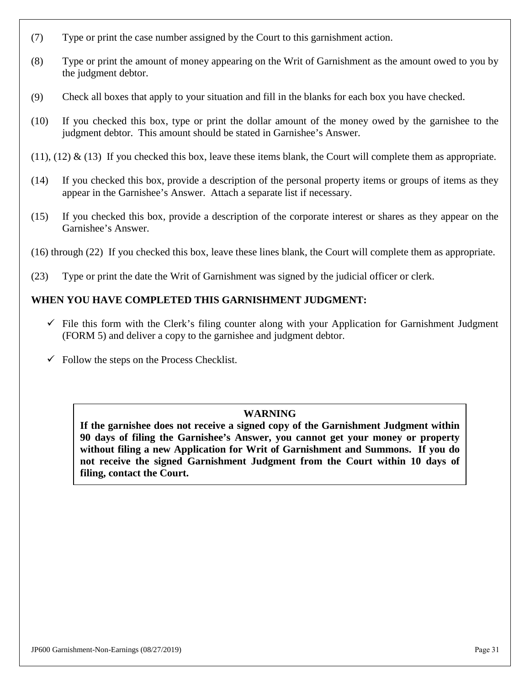- (7) Type or print the case number assigned by the Court to this garnishment action.
- (8) Type or print the amount of money appearing on the Writ of Garnishment as the amount owed to you by the judgment debtor.
- (9) Check all boxes that apply to your situation and fill in the blanks for each box you have checked.
- (10) If you checked this box, type or print the dollar amount of the money owed by the garnishee to the judgment debtor. This amount should be stated in Garnishee's Answer.
- (11), (12)  $\&$  (13) If you checked this box, leave these items blank, the Court will complete them as appropriate.
- (14) If you checked this box, provide a description of the personal property items or groups of items as they appear in the Garnishee's Answer. Attach a separate list if necessary.
- (15) If you checked this box, provide a description of the corporate interest or shares as they appear on the Garnishee's Answer.
- (16) through (22) If you checked this box, leave these lines blank, the Court will complete them as appropriate.
- (23) Type or print the date the Writ of Garnishment was signed by the judicial officer or clerk.

## **WHEN YOU HAVE COMPLETED THIS GARNISHMENT JUDGMENT:**

- $\checkmark$  File this form with the Clerk's filing counter along with your Application for Garnishment Judgment (FORM 5) and deliver a copy to the garnishee and judgment debtor.
- $\checkmark$  Follow the steps on the Process Checklist.

## **WARNING**

**If the garnishee does not receive a signed copy of the Garnishment Judgment within 90 days of filing the Garnishee's Answer, you cannot get your money or property without filing a new Application for Writ of Garnishment and Summons. If you do not receive the signed Garnishment Judgment from the Court within 10 days of filing, contact the Court.**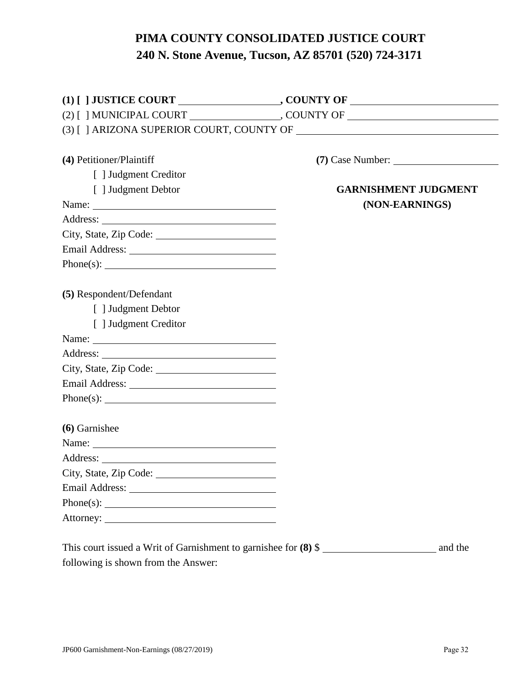# **PIMA COUNTY CONSOLIDATED JUSTICE COURT 240 N. Stone Avenue, Tucson, AZ 85701 (520) 724-3171**

| (4) Petitioner/Plaintiff    | (7) Case Number:            |
|-----------------------------|-----------------------------|
| [ ] Judgment Creditor       |                             |
| [ ] Judgment Debtor         | <b>GARNISHMENT JUDGMENT</b> |
| Name:                       | (NON-EARNINGS)              |
|                             |                             |
|                             |                             |
|                             |                             |
|                             |                             |
| (5) Respondent/Defendant    |                             |
| [ ] Judgment Debtor         |                             |
| [ ] Judgment Creditor       |                             |
|                             |                             |
|                             |                             |
| City, State, Zip Code: 2000 |                             |
|                             |                             |
|                             |                             |
| (6) Garnishee               |                             |
| Name:                       |                             |
|                             |                             |
|                             |                             |
|                             |                             |
|                             |                             |
|                             |                             |
|                             |                             |

This court issued a Writ of Garnishment to garnishee for  $(8)$  \$ following is shown from the Answer: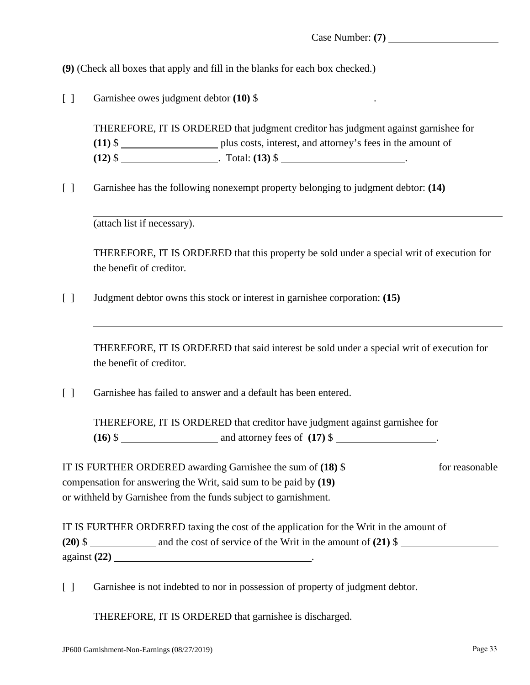**(9)** (Check all boxes that apply and fill in the blanks for each box checked.)

[ ] Garnishee owes judgment debtor **(10)** \$ .

THEREFORE, IT IS ORDERED that judgment creditor has judgment against garnishee for **(11)** \$ **(12)** \$ . Total: **(13)** \$ .

[ ] Garnishee has the following nonexempt property belonging to judgment debtor: **(14)**

(attach list if necessary).

THEREFORE, IT IS ORDERED that this property be sold under a special writ of execution for the benefit of creditor.

[ ] Judgment debtor owns this stock or interest in garnishee corporation: **(15)**

THEREFORE, IT IS ORDERED that said interest be sold under a special writ of execution for the benefit of creditor.

[ ] Garnishee has failed to answer and a default has been entered.

THEREFORE, IT IS ORDERED that creditor have judgment against garnishee for **(16)** \$ and attorney fees of **(17)** \$ .

IT IS FURTHER ORDERED awarding Garnishee the sum of **(18)** \$ for reasonable compensation for answering the Writ, said sum to be paid by **(19)** or withheld by Garnishee from the funds subject to garnishment.

IT IS FURTHER ORDERED taxing the cost of the application for the Writ in the amount of **(20)** \$ against **(22)** .

[ ] Garnishee is not indebted to nor in possession of property of judgment debtor.

THEREFORE, IT IS ORDERED that garnishee is discharged.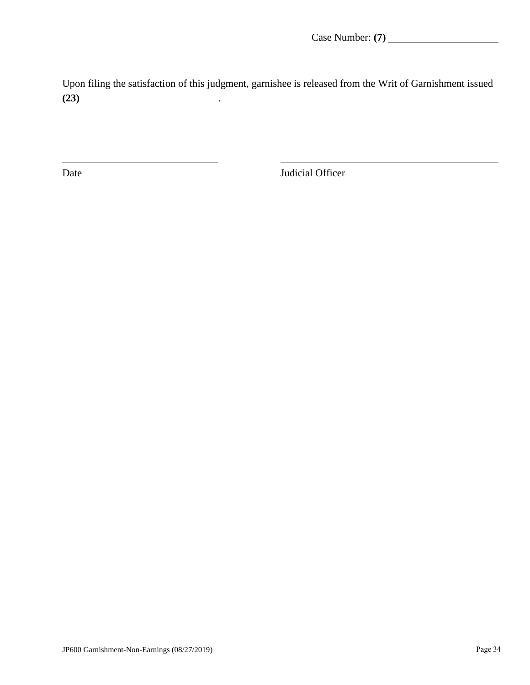Upon filing the satisfaction of this judgment, garnishee is released from the Writ of Garnishment issued **(23)** .

Date Judicial Officer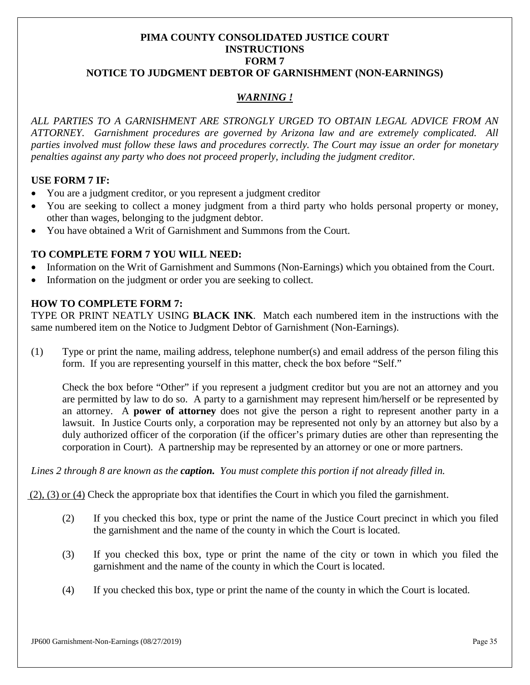#### **PIMA COUNTY CONSOLIDATED JUSTICE COURT INSTRUCTIONS FORM 7 NOTICE TO JUDGMENT DEBTOR OF GARNISHMENT (NON-EARNINGS)**

# *WARNING !*

*ALL PARTIES TO A GARNISHMENT ARE STRONGLY URGED TO OBTAIN LEGAL ADVICE FROM AN ATTORNEY. Garnishment procedures are governed by Arizona law and are extremely complicated. All parties involved must follow these laws and procedures correctly. The Court may issue an order for monetary penalties against any party who does not proceed properly, including the judgment creditor.* 

## **USE FORM 7 IF:**

- You are a judgment creditor, or you represent a judgment creditor
- You are seeking to collect a money judgment from a third party who holds personal property or money, other than wages, belonging to the judgment debtor.
- You have obtained a Writ of Garnishment and Summons from the Court.

### **TO COMPLETE FORM 7 YOU WILL NEED:**

- Information on the Writ of Garnishment and Summons (Non-Earnings) which you obtained from the Court.
- Information on the judgment or order you are seeking to collect.

#### **HOW TO COMPLETE FORM 7:**

TYPE OR PRINT NEATLY USING **BLACK INK**. Match each numbered item in the instructions with the same numbered item on the Notice to Judgment Debtor of Garnishment (Non-Earnings).

(1) Type or print the name, mailing address, telephone number(s) and email address of the person filing this form. If you are representing yourself in this matter, check the box before "Self."

Check the box before "Other" if you represent a judgment creditor but you are not an attorney and you are permitted by law to do so. A party to a garnishment may represent him/herself or be represented by an attorney. A **power of attorney** does not give the person a right to represent another party in a lawsuit. In Justice Courts only, a corporation may be represented not only by an attorney but also by a duly authorized officer of the corporation (if the officer's primary duties are other than representing the corporation in Court). A partnership may be represented by an attorney or one or more partners.

*Lines 2 through 8 are known as the caption. You must complete this portion if not already filled in.* 

 $(2)$ ,  $(3)$  or  $(4)$  Check the appropriate box that identifies the Court in which you filed the garnishment.

- (2) If you checked this box, type or print the name of the Justice Court precinct in which you filed the garnishment and the name of the county in which the Court is located.
- (3) If you checked this box, type or print the name of the city or town in which you filed the garnishment and the name of the county in which the Court is located.
- (4) If you checked this box, type or print the name of the county in which the Court is located.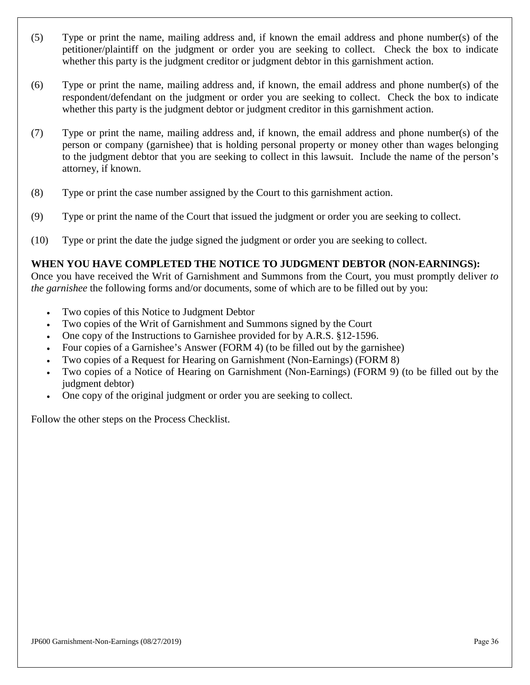- (5) Type or print the name, mailing address and, if known the email address and phone number(s) of the petitioner/plaintiff on the judgment or order you are seeking to collect. Check the box to indicate whether this party is the judgment creditor or judgment debtor in this garnishment action.
- (6) Type or print the name, mailing address and, if known, the email address and phone number(s) of the respondent/defendant on the judgment or order you are seeking to collect. Check the box to indicate whether this party is the judgment debtor or judgment creditor in this garnishment action.
- (7) Type or print the name, mailing address and, if known, the email address and phone number(s) of the person or company (garnishee) that is holding personal property or money other than wages belonging to the judgment debtor that you are seeking to collect in this lawsuit. Include the name of the person's attorney, if known.
- (8) Type or print the case number assigned by the Court to this garnishment action.
- (9) Type or print the name of the Court that issued the judgment or order you are seeking to collect.
- (10) Type or print the date the judge signed the judgment or order you are seeking to collect.

# **WHEN YOU HAVE COMPLETED THE NOTICE TO JUDGMENT DEBTOR (NON-EARNINGS):**

Once you have received the Writ of Garnishment and Summons from the Court, you must promptly deliver *to the garnishee* the following forms and/or documents, some of which are to be filled out by you:

- Two copies of this Notice to Judgment Debtor
- Two copies of the Writ of Garnishment and Summons signed by the Court
- One copy of the Instructions to Garnishee provided for by A.R.S. §12-1596.
- Four copies of a Garnishee's Answer (FORM 4) (to be filled out by the garnishee)
- Two copies of a Request for Hearing on Garnishment (Non-Earnings) (FORM 8)
- Two copies of a Notice of Hearing on Garnishment (Non-Earnings) (FORM 9) (to be filled out by the judgment debtor)
- One copy of the original judgment or order you are seeking to collect.

Follow the other steps on the Process Checklist.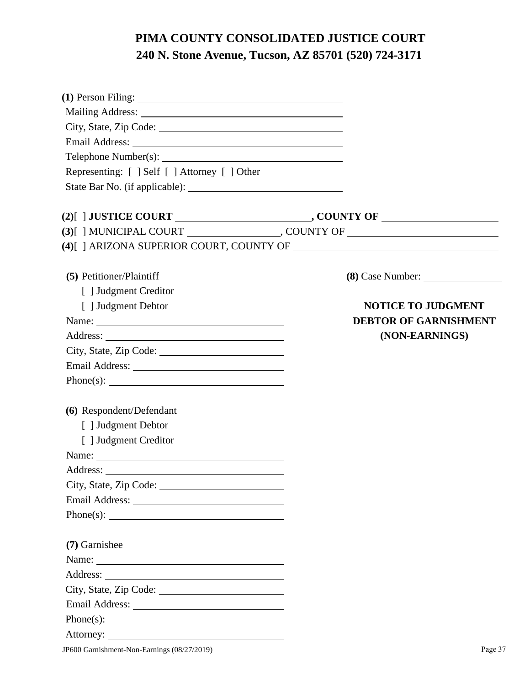| Representing: [ ] Self [ ] Attorney [ ] Other |                              |
|-----------------------------------------------|------------------------------|
|                                               |                              |
|                                               |                              |
|                                               |                              |
|                                               |                              |
| (5) Petitioner/Plaintiff                      | $(8)$ Case Number: $\_\_$    |
| [ ] Judgment Creditor                         |                              |
| [ ] Judgment Debtor                           | <b>NOTICE TO JUDGMENT</b>    |
|                                               | <b>DEBTOR OF GARNISHMENT</b> |
|                                               | (NON-EARNINGS)               |
|                                               |                              |
|                                               |                              |
|                                               |                              |
| (6) Respondent/Defendant                      |                              |
| [ ] Judgment Debtor                           |                              |
| [ ] Judgment Creditor                         |                              |
|                                               |                              |
|                                               |                              |
| City, State, Zip Code:                        |                              |
|                                               |                              |
|                                               |                              |
| (7) Garnishee                                 |                              |
| Name:                                         |                              |
|                                               |                              |
|                                               |                              |
|                                               |                              |
|                                               |                              |
|                                               |                              |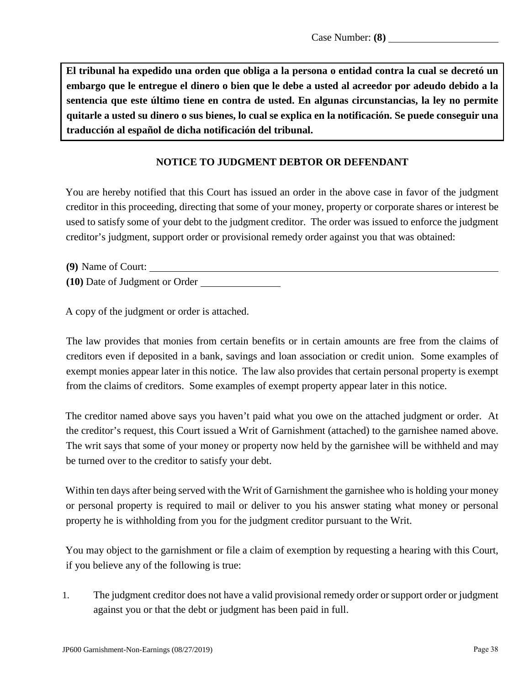**El tribunal ha expedido una orden que obliga a la persona o entidad contra la cual se decretó un embargo que le entregue el dinero o bien que le debe a usted al acreedor por adeudo debido a la sentencia que este último tiene en contra de usted. En algunas circunstancias, la ley no permite quitarle a usted su dinero o sus bienes, lo cual se explica en la notificación. Se puede conseguir una traducción al español de dicha notificación del tribunal.** 

## **NOTICE TO JUDGMENT DEBTOR OR DEFENDANT**

You are hereby notified that this Court has issued an order in the above case in favor of the judgment creditor in this proceeding, directing that some of your money, property or corporate shares or interest be used to satisfy some of your debt to the judgment creditor. The order was issued to enforce the judgment creditor's judgment, support order or provisional remedy order against you that was obtained:

**(9)** Name of Court:

**(10)** Date of Judgment or Order

A copy of the judgment or order is attached.

The law provides that monies from certain benefits or in certain amounts are free from the claims of creditors even if deposited in a bank, savings and loan association or credit union. Some examples of exempt monies appear later in this notice. The law also provides that certain personal property is exempt from the claims of creditors. Some examples of exempt property appear later in this notice.

The creditor named above says you haven't paid what you owe on the attached judgment or order. At the creditor's request, this Court issued a Writ of Garnishment (attached) to the garnishee named above. The writ says that some of your money or property now held by the garnishee will be withheld and may be turned over to the creditor to satisfy your debt.

Within ten days after being served with the Writ of Garnishment the garnishee who is holding your money or personal property is required to mail or deliver to you his answer stating what money or personal property he is withholding from you for the judgment creditor pursuant to the Writ.

You may object to the garnishment or file a claim of exemption by requesting a hearing with this Court, if you believe any of the following is true:

1. The judgment creditor does not have a valid provisional remedy order or support order or judgment against you or that the debt or judgment has been paid in full.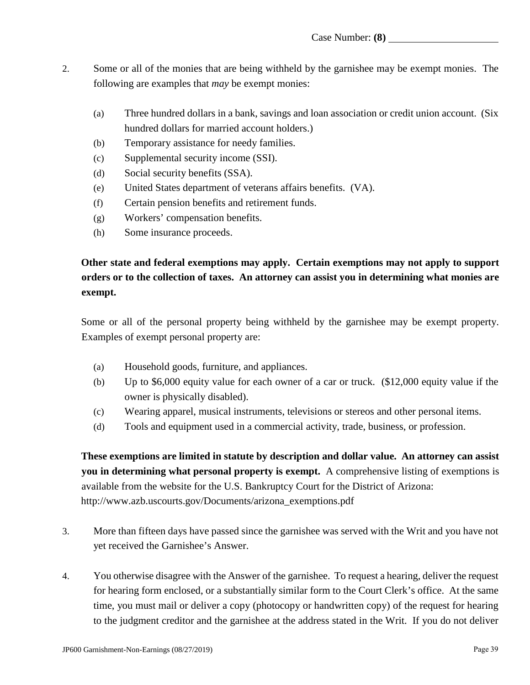- 2. Some or all of the monies that are being withheld by the garnishee may be exempt monies. The following are examples that *may* be exempt monies:
	- (a) Three hundred dollars in a bank, savings and loan association or credit union account. (Six hundred dollars for married account holders.)
	- (b) Temporary assistance for needy families.
	- (c) Supplemental security income (SSI).
	- (d) Social security benefits (SSA).
	- (e) United States department of veterans affairs benefits. (VA).
	- (f) Certain pension benefits and retirement funds.
	- (g) Workers' compensation benefits.
	- (h) Some insurance proceeds.

# **Other state and federal exemptions may apply. Certain exemptions may not apply to support orders or to the collection of taxes. An attorney can assist you in determining what monies are exempt.**

Some or all of the personal property being withheld by the garnishee may be exempt property. Examples of exempt personal property are:

- (a) Household goods, furniture, and appliances.
- (b) Up to \$6,000 equity value for each owner of a car or truck. (\$12,000 equity value if the owner is physically disabled).
- (c) Wearing apparel, musical instruments, televisions or stereos and other personal items.
- (d) Tools and equipment used in a commercial activity, trade, business, or profession.

**These exemptions are limited in statute by description and dollar value. An attorney can assist you in determining what personal property is exempt.** A comprehensive listing of exemptions is available from the website for the U.S. Bankruptcy Court for the District of Arizona: http://www.azb.uscourts.gov/Documents/arizona\_exemptions.pdf

- 3. More than fifteen days have passed since the garnishee was served with the Writ and you have not yet received the Garnishee's Answer.
- 4. You otherwise disagree with the Answer of the garnishee. To request a hearing, deliver the request for hearing form enclosed, or a substantially similar form to the Court Clerk's office. At the same time, you must mail or deliver a copy (photocopy or handwritten copy) of the request for hearing to the judgment creditor and the garnishee at the address stated in the Writ. If you do not deliver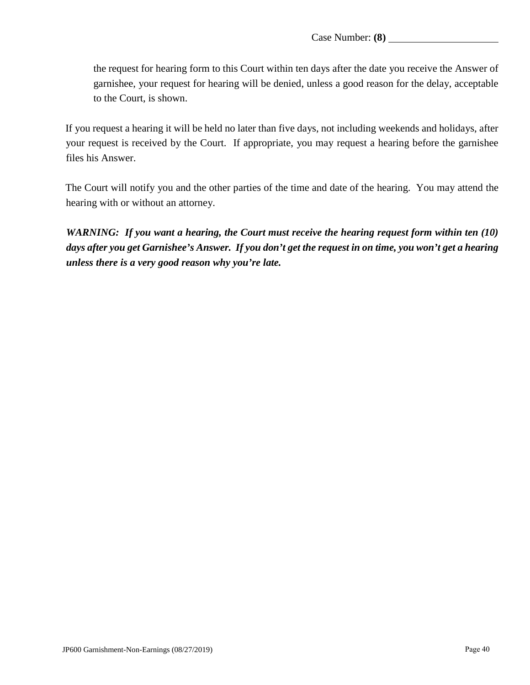the request for hearing form to this Court within ten days after the date you receive the Answer of garnishee, your request for hearing will be denied, unless a good reason for the delay, acceptable to the Court, is shown.

If you request a hearing it will be held no later than five days, not including weekends and holidays, after your request is received by the Court. If appropriate, you may request a hearing before the garnishee files his Answer.

The Court will notify you and the other parties of the time and date of the hearing. You may attend the hearing with or without an attorney.

*WARNING: If you want a hearing, the Court must receive the hearing request form within ten (10) days after you get Garnishee's Answer. If you don't get the request in on time, you won't get a hearing unless there is a very good reason why you're late.*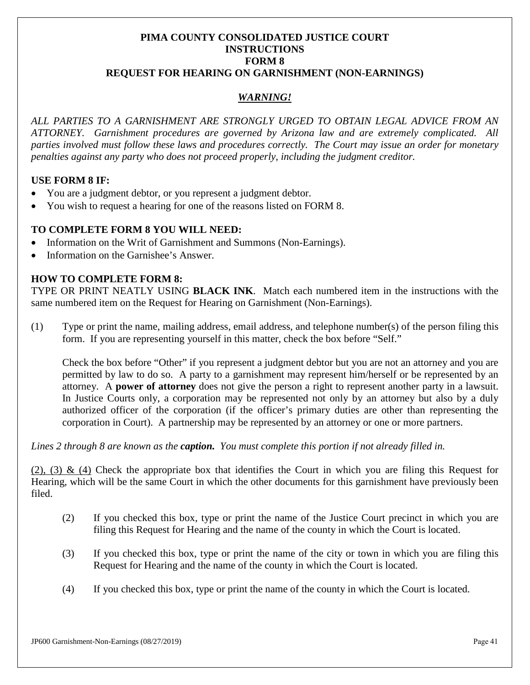## **PIMA COUNTY CONSOLIDATED JUSTICE COURT INSTRUCTIONS FORM 8 REQUEST FOR HEARING ON GARNISHMENT (NON-EARNINGS)**

## *WARNING!*

*ALL PARTIES TO A GARNISHMENT ARE STRONGLY URGED TO OBTAIN LEGAL ADVICE FROM AN ATTORNEY. Garnishment procedures are governed by Arizona law and are extremely complicated. All parties involved must follow these laws and procedures correctly. The Court may issue an order for monetary penalties against any party who does not proceed properly, including the judgment creditor.* 

# **USE FORM 8 IF:**

- You are a judgment debtor, or you represent a judgment debtor.
- You wish to request a hearing for one of the reasons listed on FORM 8.

### **TO COMPLETE FORM 8 YOU WILL NEED:**

- Information on the Writ of Garnishment and Summons (Non-Earnings).
- Information on the Garnishee's Answer.

### **HOW TO COMPLETE FORM 8:**

TYPE OR PRINT NEATLY USING **BLACK INK**. Match each numbered item in the instructions with the same numbered item on the Request for Hearing on Garnishment (Non-Earnings).

(1) Type or print the name, mailing address, email address, and telephone number(s) of the person filing this form. If you are representing yourself in this matter, check the box before "Self."

Check the box before "Other" if you represent a judgment debtor but you are not an attorney and you are permitted by law to do so. A party to a garnishment may represent him/herself or be represented by an attorney. A **power of attorney** does not give the person a right to represent another party in a lawsuit. In Justice Courts only, a corporation may be represented not only by an attorney but also by a duly authorized officer of the corporation (if the officer's primary duties are other than representing the corporation in Court). A partnership may be represented by an attorney or one or more partners.

*Lines 2 through 8 are known as the caption. You must complete this portion if not already filled in.* 

(2), (3) & (4) Check the appropriate box that identifies the Court in which you are filing this Request for Hearing, which will be the same Court in which the other documents for this garnishment have previously been filed.

- (2) If you checked this box, type or print the name of the Justice Court precinct in which you are filing this Request for Hearing and the name of the county in which the Court is located.
- (3) If you checked this box, type or print the name of the city or town in which you are filing this Request for Hearing and the name of the county in which the Court is located.
- (4) If you checked this box, type or print the name of the county in which the Court is located.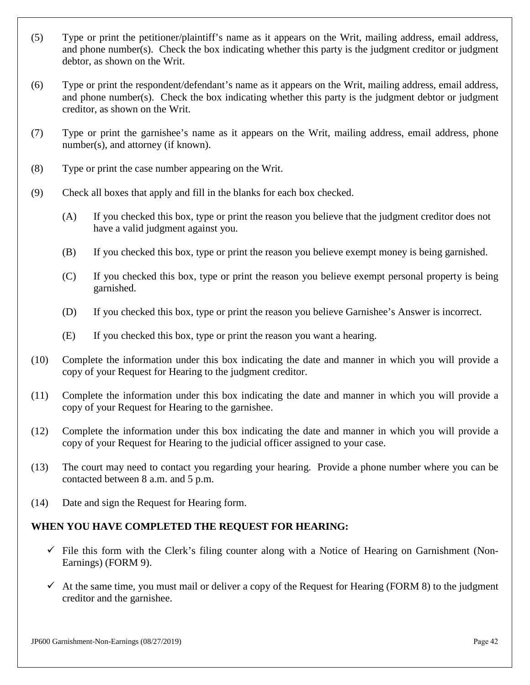- (5) Type or print the petitioner/plaintiff's name as it appears on the Writ, mailing address, email address, and phone number(s). Check the box indicating whether this party is the judgment creditor or judgment debtor, as shown on the Writ.
- (6) Type or print the respondent/defendant's name as it appears on the Writ, mailing address, email address, and phone number(s). Check the box indicating whether this party is the judgment debtor or judgment creditor, as shown on the Writ.
- (7) Type or print the garnishee's name as it appears on the Writ, mailing address, email address, phone number(s), and attorney (if known).
- (8) Type or print the case number appearing on the Writ.
- (9) Check all boxes that apply and fill in the blanks for each box checked.
	- (A) If you checked this box, type or print the reason you believe that the judgment creditor does not have a valid judgment against you.
	- (B) If you checked this box, type or print the reason you believe exempt money is being garnished.
	- (C) If you checked this box, type or print the reason you believe exempt personal property is being garnished.
	- (D) If you checked this box, type or print the reason you believe Garnishee's Answer is incorrect.
	- (E) If you checked this box, type or print the reason you want a hearing.
- (10) Complete the information under this box indicating the date and manner in which you will provide a copy of your Request for Hearing to the judgment creditor.
- (11) Complete the information under this box indicating the date and manner in which you will provide a copy of your Request for Hearing to the garnishee.
- (12) Complete the information under this box indicating the date and manner in which you will provide a copy of your Request for Hearing to the judicial officer assigned to your case.
- (13) The court may need to contact you regarding your hearing. Provide a phone number where you can be contacted between 8 a.m. and 5 p.m.
- (14) Date and sign the Request for Hearing form.

## **WHEN YOU HAVE COMPLETED THE REQUEST FOR HEARING:**

- $\checkmark$  File this form with the Clerk's filing counter along with a Notice of Hearing on Garnishment (Non-Earnings) (FORM 9).
- $\checkmark$  At the same time, you must mail or deliver a copy of the Request for Hearing (FORM 8) to the judgment creditor and the garnishee.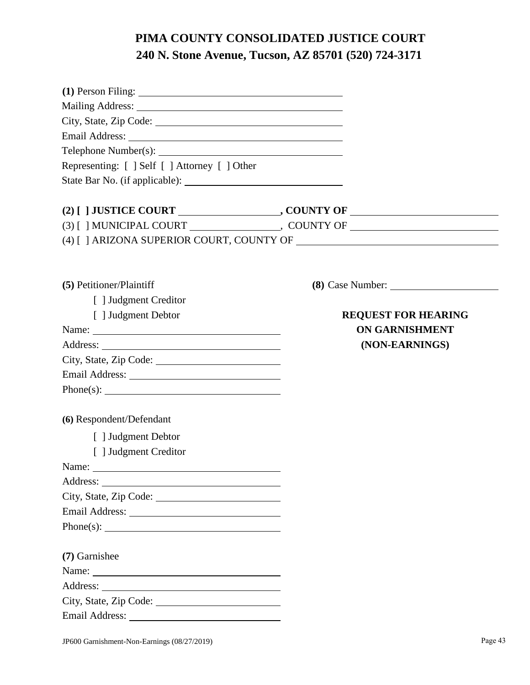| $\text{Telephone Number}(s):$                                                                                                                                                                                                                                                                                                                                                                                          |                            |
|------------------------------------------------------------------------------------------------------------------------------------------------------------------------------------------------------------------------------------------------------------------------------------------------------------------------------------------------------------------------------------------------------------------------|----------------------------|
| Representing: [ ] Self [ ] Attorney [ ] Other                                                                                                                                                                                                                                                                                                                                                                          |                            |
|                                                                                                                                                                                                                                                                                                                                                                                                                        |                            |
|                                                                                                                                                                                                                                                                                                                                                                                                                        |                            |
|                                                                                                                                                                                                                                                                                                                                                                                                                        |                            |
|                                                                                                                                                                                                                                                                                                                                                                                                                        |                            |
|                                                                                                                                                                                                                                                                                                                                                                                                                        |                            |
| (5) Petitioner/Plaintiff                                                                                                                                                                                                                                                                                                                                                                                               |                            |
| [ ] Judgment Creditor                                                                                                                                                                                                                                                                                                                                                                                                  |                            |
| [ ] Judgment Debtor                                                                                                                                                                                                                                                                                                                                                                                                    | <b>REQUEST FOR HEARING</b> |
|                                                                                                                                                                                                                                                                                                                                                                                                                        | <b>ON GARNISHMENT</b>      |
|                                                                                                                                                                                                                                                                                                                                                                                                                        | (NON-EARNINGS)             |
|                                                                                                                                                                                                                                                                                                                                                                                                                        |                            |
|                                                                                                                                                                                                                                                                                                                                                                                                                        |                            |
|                                                                                                                                                                                                                                                                                                                                                                                                                        |                            |
| (6) Respondent/Defendant                                                                                                                                                                                                                                                                                                                                                                                               |                            |
| [ ] Judgment Debtor                                                                                                                                                                                                                                                                                                                                                                                                    |                            |
| [ ] Judgment Creditor                                                                                                                                                                                                                                                                                                                                                                                                  |                            |
| Name:                                                                                                                                                                                                                                                                                                                                                                                                                  |                            |
|                                                                                                                                                                                                                                                                                                                                                                                                                        |                            |
|                                                                                                                                                                                                                                                                                                                                                                                                                        |                            |
|                                                                                                                                                                                                                                                                                                                                                                                                                        |                            |
|                                                                                                                                                                                                                                                                                                                                                                                                                        |                            |
| (7) Garnishee                                                                                                                                                                                                                                                                                                                                                                                                          |                            |
| Name: $\frac{1}{\sqrt{1-\frac{1}{2}}}\left\{ \frac{1}{2}, \frac{1}{2}, \frac{1}{2}, \frac{1}{2}, \frac{1}{2}, \frac{1}{2}, \frac{1}{2}, \frac{1}{2}, \frac{1}{2}, \frac{1}{2}, \frac{1}{2}, \frac{1}{2}, \frac{1}{2}, \frac{1}{2}, \frac{1}{2}, \frac{1}{2}, \frac{1}{2}, \frac{1}{2}, \frac{1}{2}, \frac{1}{2}, \frac{1}{2}, \frac{1}{2}, \frac{1}{2}, \frac{1}{2}, \frac{1}{2}, \frac{1}{2}, \frac{1}{2}, \frac{1}{$ |                            |
|                                                                                                                                                                                                                                                                                                                                                                                                                        |                            |
|                                                                                                                                                                                                                                                                                                                                                                                                                        |                            |
|                                                                                                                                                                                                                                                                                                                                                                                                                        |                            |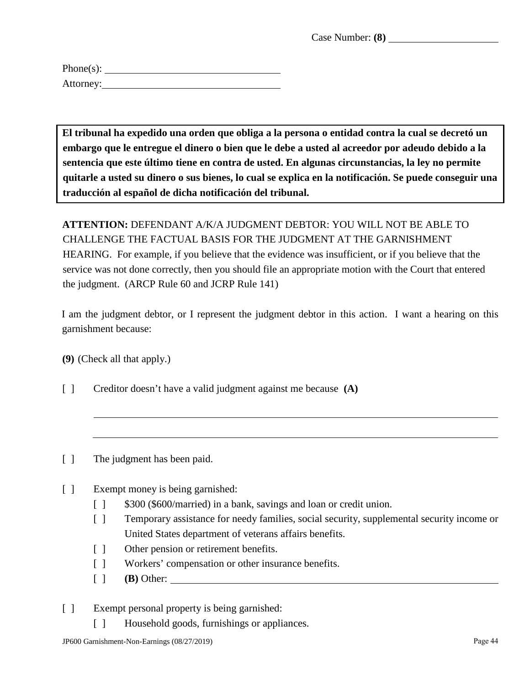Case Number: **(8)**

| $Phone(s)$ : |  |
|--------------|--|
| Attorney:    |  |

**El tribunal ha expedido una orden que obliga a la persona o entidad contra la cual se decretó un embargo que le entregue el dinero o bien que le debe a usted al acreedor por adeudo debido a la sentencia que este último tiene en contra de usted. En algunas circunstancias, la ley no permite quitarle a usted su dinero o sus bienes, lo cual se explica en la notificación. Se puede conseguir una traducción al español de dicha notificación del tribunal.** 

**ATTENTION:** DEFENDANT A/K/A JUDGMENT DEBTOR: YOU WILL NOT BE ABLE TO CHALLENGE THE FACTUAL BASIS FOR THE JUDGMENT AT THE GARNISHMENT HEARING. For example, if you believe that the evidence was insufficient, or if you believe that the service was not done correctly, then you should file an appropriate motion with the Court that entered the judgment. (ARCP Rule 60 and JCRP Rule 141)

I am the judgment debtor, or I represent the judgment debtor in this action. I want a hearing on this garnishment because:

**(9)** (Check all that apply.)

[ ] Creditor doesn't have a valid judgment against me because **(A)** 

[ ] The judgment has been paid.

## [ ] Exempt money is being garnished:

- [ ] \$300 (\$600/married) in a bank, savings and loan or credit union.
- [ ] Temporary assistance for needy families, social security, supplemental security income or United States department of veterans affairs benefits.
- [ ] Other pension or retirement benefits.
- [ ] Workers' compensation or other insurance benefits.
- [ ] **(B)** Other:
- [ ] Exempt personal property is being garnished:
	- [ ] Household goods, furnishings or appliances.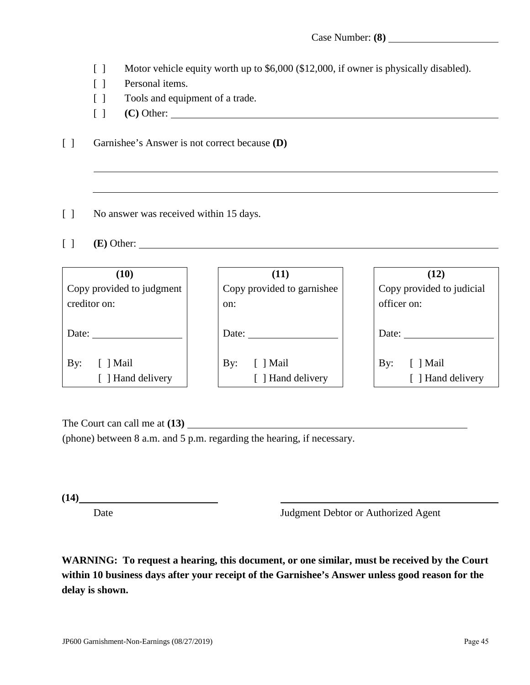- [ ] Motor vehicle equity worth up to \$6,000 (\$12,000, if owner is physically disabled).
- [ ] Personal items.
- [ ] Tools and equipment of a trade.
- [ ] **(C)** Other:
- [ ] Garnishee's Answer is not correct because **(D)**
- [ ] No answer was received within 15 days.
- [ ] **(E)** Other:

| (10)                      | (11)                       | (12)                      |
|---------------------------|----------------------------|---------------------------|
| Copy provided to judgment | Copy provided to garnishee | Copy provided to judicial |
| creditor on:              | on:                        | officer on:               |
|                           |                            |                           |
| Date:                     | Date:                      | Date:                     |
|                           |                            |                           |
| By:<br>  Mail             | By:<br>$\lceil$   Mail     | By:<br>$\lceil$   Mail    |
| [ ] Hand delivery         | [ ] Hand delivery          | [ ] Hand delivery         |

The Court can call me at **(13)** (phone) between 8 a.m. and 5 p.m. regarding the hearing, if necessary.

| (14) |  |  |
|------|--|--|
|      |  |  |

Date Judgment Debtor or Authorized Agent

**WARNING: To request a hearing, this document, or one similar, must be received by the Court within 10 business days after your receipt of the Garnishee's Answer unless good reason for the delay is shown.**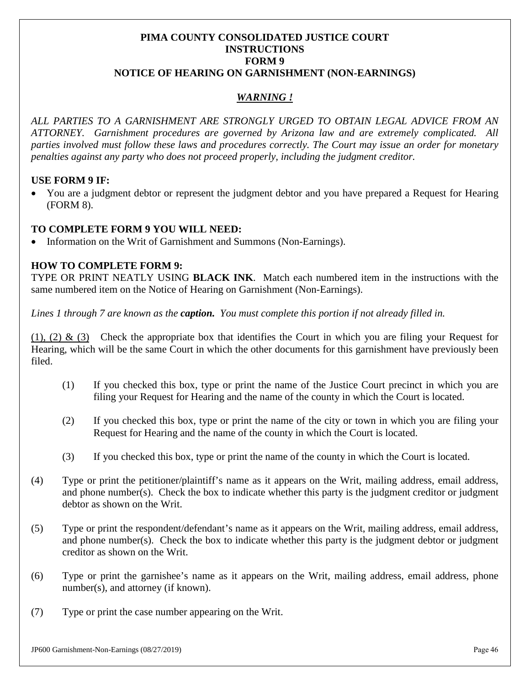## **PIMA COUNTY CONSOLIDATED JUSTICE COURT INSTRUCTIONS FORM 9 NOTICE OF HEARING ON GARNISHMENT (NON-EARNINGS)**

# *WARNING !*

*ALL PARTIES TO A GARNISHMENT ARE STRONGLY URGED TO OBTAIN LEGAL ADVICE FROM AN ATTORNEY. Garnishment procedures are governed by Arizona law and are extremely complicated. All parties involved must follow these laws and procedures correctly. The Court may issue an order for monetary penalties against any party who does not proceed properly, including the judgment creditor.* 

## **USE FORM 9 IF:**

• You are a judgment debtor or represent the judgment debtor and you have prepared a Request for Hearing (FORM 8).

### **TO COMPLETE FORM 9 YOU WILL NEED:**

• Information on the Writ of Garnishment and Summons (Non-Earnings).

### **HOW TO COMPLETE FORM 9:**

TYPE OR PRINT NEATLY USING **BLACK INK**. Match each numbered item in the instructions with the same numbered item on the Notice of Hearing on Garnishment (Non-Earnings).

*Lines 1 through 7 are known as the caption. You must complete this portion if not already filled in.* 

(1), (2)  $\&$  (3) Check the appropriate box that identifies the Court in which you are filing your Request for Hearing, which will be the same Court in which the other documents for this garnishment have previously been filed.

- (1) If you checked this box, type or print the name of the Justice Court precinct in which you are filing your Request for Hearing and the name of the county in which the Court is located.
- (2) If you checked this box, type or print the name of the city or town in which you are filing your Request for Hearing and the name of the county in which the Court is located.
- (3) If you checked this box, type or print the name of the county in which the Court is located.
- (4) Type or print the petitioner/plaintiff's name as it appears on the Writ, mailing address, email address, and phone number(s). Check the box to indicate whether this party is the judgment creditor or judgment debtor as shown on the Writ.
- (5) Type or print the respondent/defendant's name as it appears on the Writ, mailing address, email address, and phone number(s). Check the box to indicate whether this party is the judgment debtor or judgment creditor as shown on the Writ.
- (6) Type or print the garnishee's name as it appears on the Writ, mailing address, email address, phone number(s), and attorney (if known).
- (7) Type or print the case number appearing on the Writ.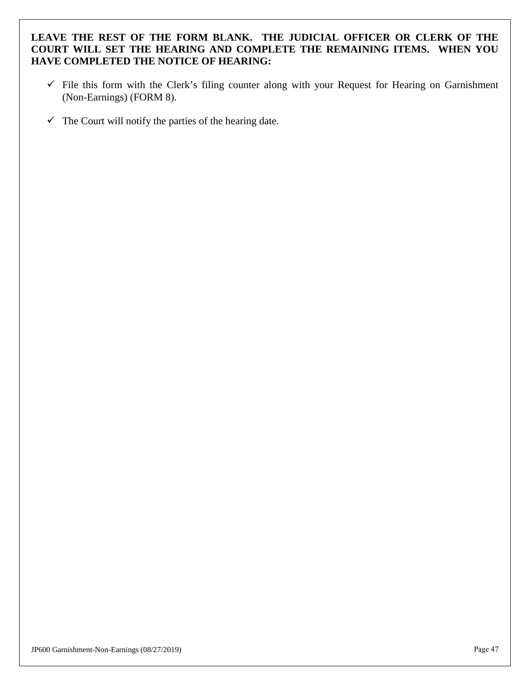# **LEAVE THE REST OF THE FORM BLANK. THE JUDICIAL OFFICER OR CLERK OF THE COURT WILL SET THE HEARING AND COMPLETE THE REMAINING ITEMS. WHEN YOU HAVE COMPLETED THE NOTICE OF HEARING:**

- $\checkmark$  File this form with the Clerk's filing counter along with your Request for Hearing on Garnishment (Non-Earnings) (FORM 8).
- $\checkmark$  The Court will notify the parties of the hearing date.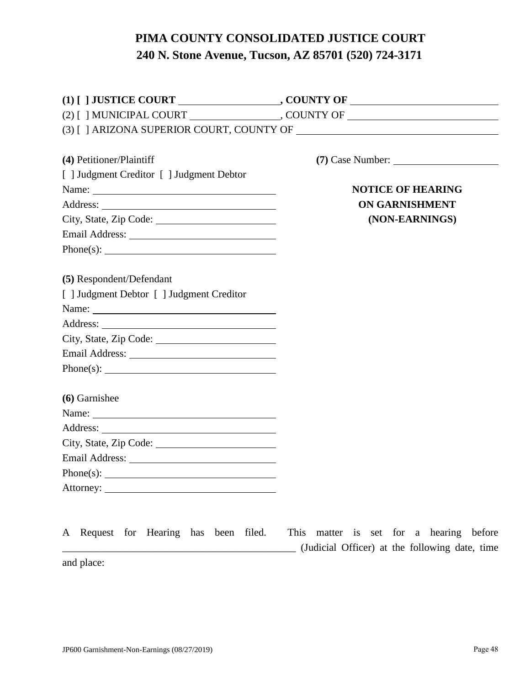| (4) Petitioner/Plaintiff                                                                                                                                                                                                       | $(7)$ Case Number: $\_\_$ |
|--------------------------------------------------------------------------------------------------------------------------------------------------------------------------------------------------------------------------------|---------------------------|
| [ ] Judgment Creditor [ ] Judgment Debtor                                                                                                                                                                                      |                           |
|                                                                                                                                                                                                                                | <b>NOTICE OF HEARING</b>  |
|                                                                                                                                                                                                                                | <b>ON GARNISHMENT</b>     |
|                                                                                                                                                                                                                                | (NON-EARNINGS)            |
| Email Address: New York Changes and School and School and School and School and School and School and School and School and School and School and School and School and School and School and School and School and School and |                           |
|                                                                                                                                                                                                                                |                           |
|                                                                                                                                                                                                                                |                           |
| (5) Respondent/Defendant                                                                                                                                                                                                       |                           |
| [ ] Judgment Debtor [ ] Judgment Creditor                                                                                                                                                                                      |                           |
|                                                                                                                                                                                                                                |                           |
|                                                                                                                                                                                                                                |                           |
| City, State, Zip Code:                                                                                                                                                                                                         |                           |
|                                                                                                                                                                                                                                |                           |
|                                                                                                                                                                                                                                |                           |
| (6) Garnishee                                                                                                                                                                                                                  |                           |
|                                                                                                                                                                                                                                |                           |
|                                                                                                                                                                                                                                |                           |
| City, State, Zip Code: 2000                                                                                                                                                                                                    |                           |
|                                                                                                                                                                                                                                |                           |
|                                                                                                                                                                                                                                |                           |
|                                                                                                                                                                                                                                |                           |

|            | A Request for Hearing has been filed. |  |  | This matter is set for a hearing before        |  |  |  |  |
|------------|---------------------------------------|--|--|------------------------------------------------|--|--|--|--|
|            |                                       |  |  | (Judicial Officer) at the following date, time |  |  |  |  |
| and place: |                                       |  |  |                                                |  |  |  |  |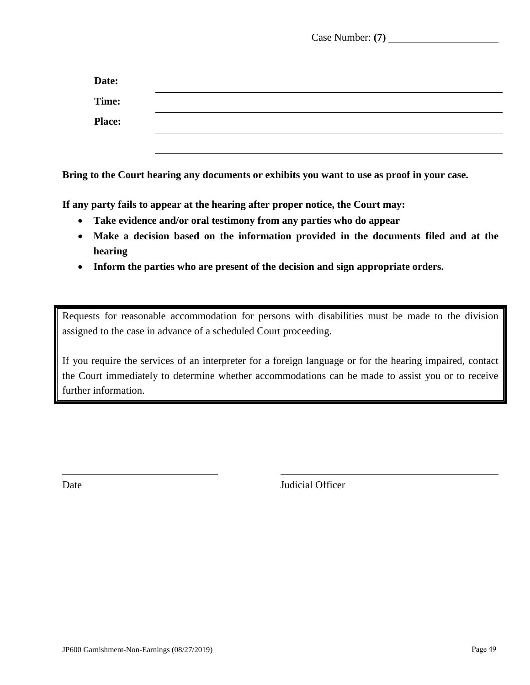Case Number: **(7)**

| Date:         |  |
|---------------|--|
| Time:         |  |
| <b>Place:</b> |  |
|               |  |

**Bring to the Court hearing any documents or exhibits you want to use as proof in your case.** 

**If any party fails to appear at the hearing after proper notice, the Court may:** 

- **Take evidence and/or oral testimony from any parties who do appear**
- **Make a decision based on the information provided in the documents filed and at the hearing**
- **Inform the parties who are present of the decision and sign appropriate orders.**

Requests for reasonable accommodation for persons with disabilities must be made to the division assigned to the case in advance of a scheduled Court proceeding.

If you require the services of an interpreter for a foreign language or for the hearing impaired, contact the Court immediately to determine whether accommodations can be made to assist you or to receive further information.

Date Judicial Officer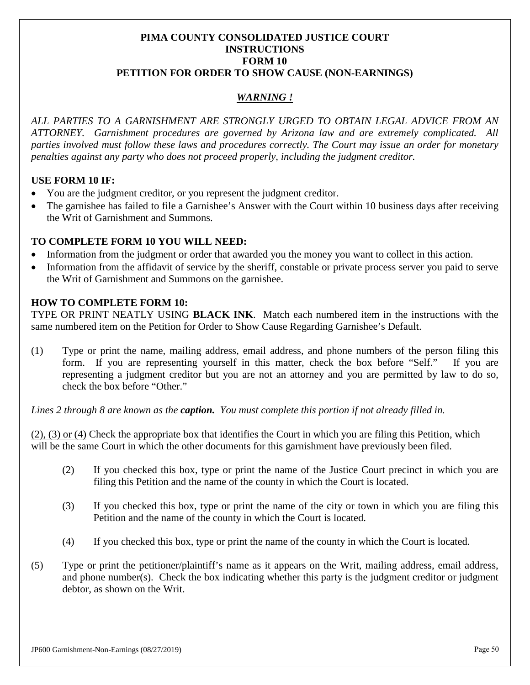## **PIMA COUNTY CONSOLIDATED JUSTICE COURT INSTRUCTIONS FORM 10 PETITION FOR ORDER TO SHOW CAUSE (NON-EARNINGS)**

# *WARNING !*

*ALL PARTIES TO A GARNISHMENT ARE STRONGLY URGED TO OBTAIN LEGAL ADVICE FROM AN ATTORNEY. Garnishment procedures are governed by Arizona law and are extremely complicated. All parties involved must follow these laws and procedures correctly. The Court may issue an order for monetary penalties against any party who does not proceed properly, including the judgment creditor.* 

## **USE FORM 10 IF:**

- You are the judgment creditor, or you represent the judgment creditor.
- The garnishee has failed to file a Garnishee's Answer with the Court within 10 business days after receiving the Writ of Garnishment and Summons.

### **TO COMPLETE FORM 10 YOU WILL NEED:**

- Information from the judgment or order that awarded you the money you want to collect in this action.
- Information from the affidavit of service by the sheriff, constable or private process server you paid to serve the Writ of Garnishment and Summons on the garnishee.

#### **HOW TO COMPLETE FORM 10:**

TYPE OR PRINT NEATLY USING **BLACK INK**. Match each numbered item in the instructions with the same numbered item on the Petition for Order to Show Cause Regarding Garnishee's Default.

(1) Type or print the name, mailing address, email address, and phone numbers of the person filing this form. If you are representing yourself in this matter, check the box before "Self." If you are representing a judgment creditor but you are not an attorney and you are permitted by law to do so, check the box before "Other."

*Lines 2 through 8 are known as the caption. You must complete this portion if not already filled in.*

(2), (3) or (4) Check the appropriate box that identifies the Court in which you are filing this Petition, which will be the same Court in which the other documents for this garnishment have previously been filed.

- (2) If you checked this box, type or print the name of the Justice Court precinct in which you are filing this Petition and the name of the county in which the Court is located.
- (3) If you checked this box, type or print the name of the city or town in which you are filing this Petition and the name of the county in which the Court is located.
- (4) If you checked this box, type or print the name of the county in which the Court is located.
- (5) Type or print the petitioner/plaintiff's name as it appears on the Writ, mailing address, email address, and phone number(s). Check the box indicating whether this party is the judgment creditor or judgment debtor, as shown on the Writ.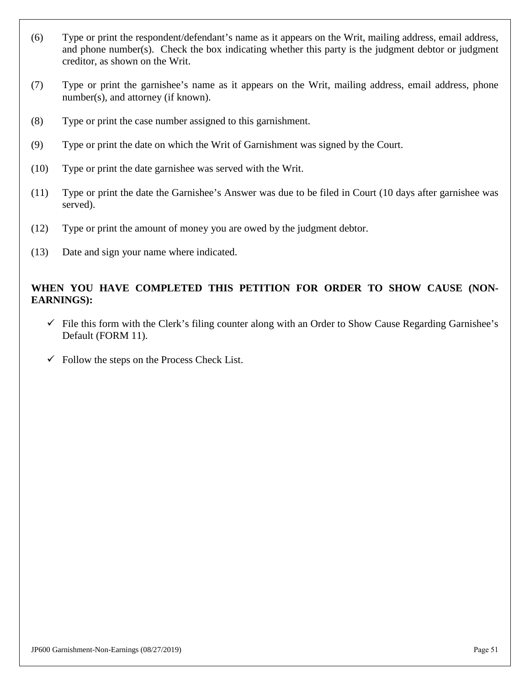- (6) Type or print the respondent/defendant's name as it appears on the Writ, mailing address, email address, and phone number(s). Check the box indicating whether this party is the judgment debtor or judgment creditor, as shown on the Writ.
- (7) Type or print the garnishee's name as it appears on the Writ, mailing address, email address, phone number(s), and attorney (if known).
- (8) Type or print the case number assigned to this garnishment.
- (9) Type or print the date on which the Writ of Garnishment was signed by the Court.
- (10) Type or print the date garnishee was served with the Writ.
- (11) Type or print the date the Garnishee's Answer was due to be filed in Court (10 days after garnishee was served).
- (12) Type or print the amount of money you are owed by the judgment debtor.
- (13) Date and sign your name where indicated.

# **WHEN YOU HAVE COMPLETED THIS PETITION FOR ORDER TO SHOW CAUSE (NON-EARNINGS):**

- $\checkmark$  File this form with the Clerk's filing counter along with an Order to Show Cause Regarding Garnishee's Default (FORM 11).
- $\checkmark$  Follow the steps on the Process Check List.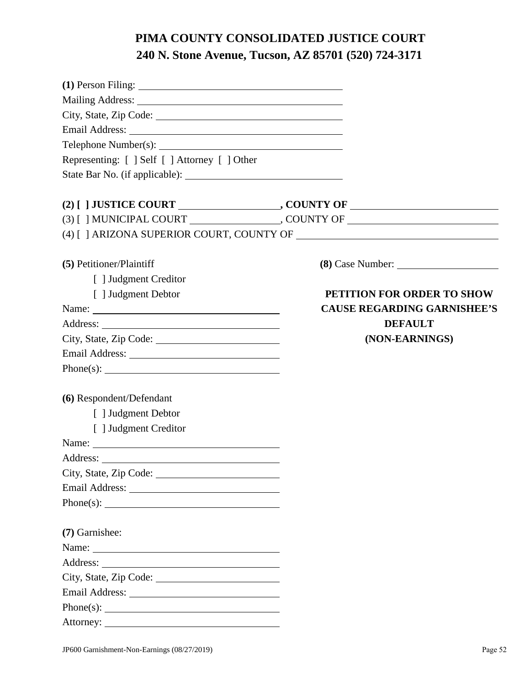| $(1)$ Person Filing: $\qquad \qquad$          |                                    |
|-----------------------------------------------|------------------------------------|
|                                               |                                    |
|                                               |                                    |
|                                               |                                    |
|                                               |                                    |
| Representing: [ ] Self [ ] Attorney [ ] Other |                                    |
|                                               |                                    |
|                                               |                                    |
|                                               |                                    |
|                                               |                                    |
| (5) Petitioner/Plaintiff                      | (8) Case Number:                   |
| [ ] Judgment Creditor                         |                                    |
| [ ] Judgment Debtor                           | PETITION FOR ORDER TO SHOW         |
| Name:                                         | <b>CAUSE REGARDING GARNISHEE'S</b> |
|                                               | <b>DEFAULT</b>                     |
|                                               | (NON-EARNINGS)                     |
|                                               |                                    |
|                                               |                                    |
| (6) Respondent/Defendant                      |                                    |
| [ ] Judgment Debtor                           |                                    |
| [ ] Judgment Creditor                         |                                    |
|                                               |                                    |
|                                               |                                    |
|                                               |                                    |
|                                               |                                    |
|                                               |                                    |
| (7) Garnishee:                                |                                    |
|                                               |                                    |
|                                               |                                    |
|                                               |                                    |
|                                               |                                    |
|                                               |                                    |
|                                               |                                    |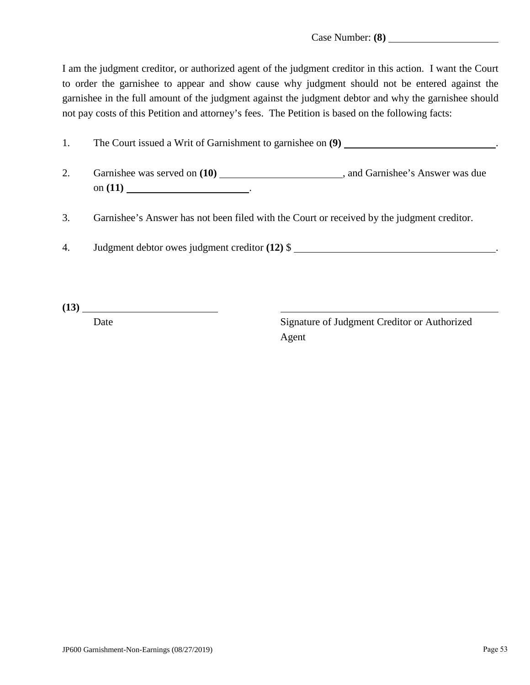I am the judgment creditor, or authorized agent of the judgment creditor in this action. I want the Court to order the garnishee to appear and show cause why judgment should not be entered against the garnishee in the full amount of the judgment against the judgment debtor and why the garnishee should not pay costs of this Petition and attorney's fees. The Petition is based on the following facts:

1. The Court issued a Writ of Garnishment to garnishee on **(9)** .

- 2. Garnishee was served on (10) \_\_\_\_\_\_\_\_\_\_\_\_\_\_\_\_\_\_\_\_\_\_\_, and Garnishee's Answer was due on **(11)** .
- 3. Garnishee's Answer has not been filed with the Court or received by the judgment creditor.
- 4. Judgment debtor owes judgment creditor **(12)** \$ .

**(13)** 

Date Signature of Judgment Creditor or Authorized Agent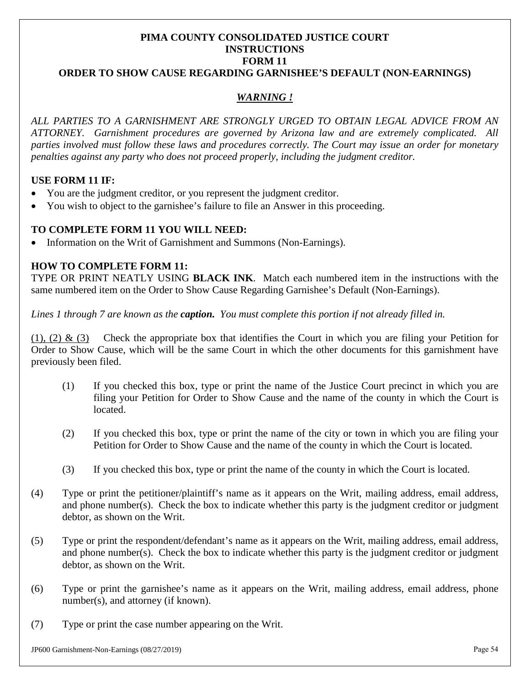## **PIMA COUNTY CONSOLIDATED JUSTICE COURT INSTRUCTIONS FORM 11 ORDER TO SHOW CAUSE REGARDING GARNISHEE'S DEFAULT (NON-EARNINGS)**

## *WARNING !*

*ALL PARTIES TO A GARNISHMENT ARE STRONGLY URGED TO OBTAIN LEGAL ADVICE FROM AN ATTORNEY. Garnishment procedures are governed by Arizona law and are extremely complicated. All parties involved must follow these laws and procedures correctly. The Court may issue an order for monetary penalties against any party who does not proceed properly, including the judgment creditor.* 

## **USE FORM 11 IF:**

- You are the judgment creditor, or you represent the judgment creditor.
- You wish to object to the garnishee's failure to file an Answer in this proceeding.

### **TO COMPLETE FORM 11 YOU WILL NEED:**

• Information on the Writ of Garnishment and Summons (Non-Earnings).

## **HOW TO COMPLETE FORM 11:**

TYPE OR PRINT NEATLY USING **BLACK INK**. Match each numbered item in the instructions with the same numbered item on the Order to Show Cause Regarding Garnishee's Default (Non-Earnings).

*Lines 1 through 7 are known as the caption. You must complete this portion if not already filled in.* 

(1), (2)  $\&$  (3) Check the appropriate box that identifies the Court in which you are filing your Petition for Order to Show Cause, which will be the same Court in which the other documents for this garnishment have previously been filed.

- (1) If you checked this box, type or print the name of the Justice Court precinct in which you are filing your Petition for Order to Show Cause and the name of the county in which the Court is located.
- (2) If you checked this box, type or print the name of the city or town in which you are filing your Petition for Order to Show Cause and the name of the county in which the Court is located.
- (3) If you checked this box, type or print the name of the county in which the Court is located.
- (4) Type or print the petitioner/plaintiff's name as it appears on the Writ, mailing address, email address, and phone number(s). Check the box to indicate whether this party is the judgment creditor or judgment debtor, as shown on the Writ.
- (5) Type or print the respondent/defendant's name as it appears on the Writ, mailing address, email address, and phone number(s). Check the box to indicate whether this party is the judgment creditor or judgment debtor, as shown on the Writ.
- (6) Type or print the garnishee's name as it appears on the Writ, mailing address, email address, phone number(s), and attorney (if known).
- (7) Type or print the case number appearing on the Writ.

JP600 Garnishment-Non-Earnings (08/27/2019)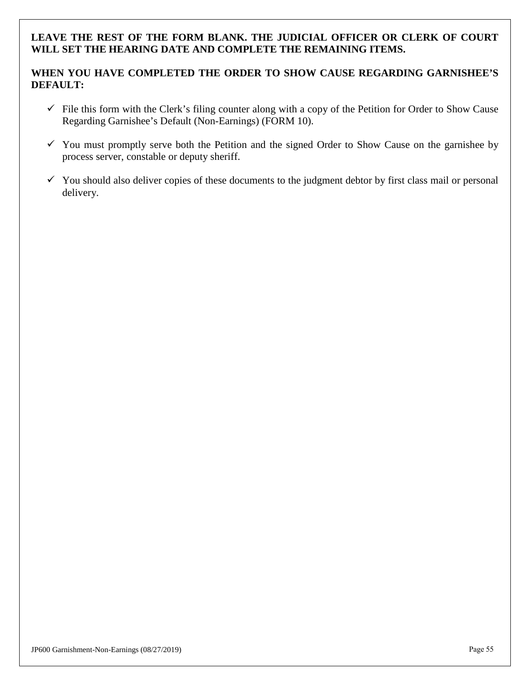## **LEAVE THE REST OF THE FORM BLANK. THE JUDICIAL OFFICER OR CLERK OF COURT WILL SET THE HEARING DATE AND COMPLETE THE REMAINING ITEMS.**

## **WHEN YOU HAVE COMPLETED THE ORDER TO SHOW CAUSE REGARDING GARNISHEE'S DEFAULT:**

- $\checkmark$  File this form with the Clerk's filing counter along with a copy of the Petition for Order to Show Cause Regarding Garnishee's Default (Non-Earnings) (FORM 10).
- $\checkmark$  You must promptly serve both the Petition and the signed Order to Show Cause on the garnishee by process server, constable or deputy sheriff.
- $\checkmark$  You should also deliver copies of these documents to the judgment debtor by first class mail or personal delivery.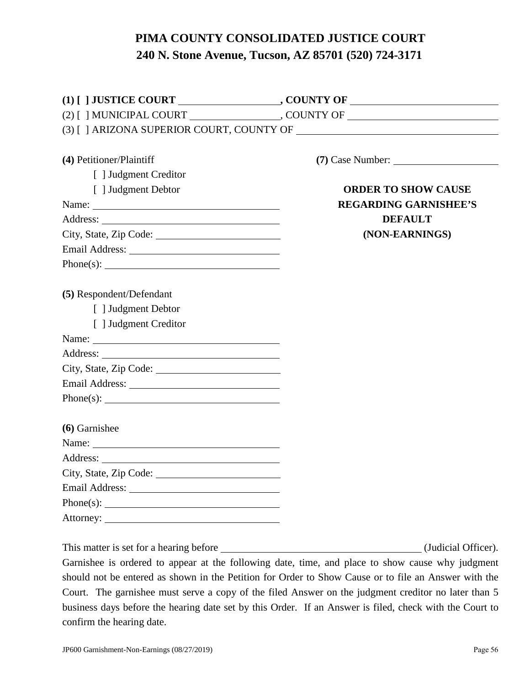| (4) Petitioner/Plaintiff |                              |
|--------------------------|------------------------------|
| [ ] Judgment Creditor    |                              |
| [ ] Judgment Debtor      | <b>ORDER TO SHOW CAUSE</b>   |
| Name:                    | <b>REGARDING GARNISHEE'S</b> |
|                          | <b>DEFAULT</b>               |
|                          | (NON-EARNINGS)               |
|                          |                              |
|                          |                              |
|                          |                              |
| (5) Respondent/Defendant |                              |
| [ ] Judgment Debtor      |                              |
| [ ] Judgment Creditor    |                              |
|                          |                              |
|                          |                              |
| City, State, Zip Code:   |                              |
|                          |                              |
|                          |                              |
| (6) Garnishee            |                              |
|                          |                              |
|                          |                              |
|                          |                              |
|                          |                              |
|                          |                              |
|                          |                              |
|                          |                              |

This matter is set for a hearing before (Judicial Officer).

Garnishee is ordered to appear at the following date, time, and place to show cause why judgment should not be entered as shown in the Petition for Order to Show Cause or to file an Answer with the Court. The garnishee must serve a copy of the filed Answer on the judgment creditor no later than 5 business days before the hearing date set by this Order. If an Answer is filed, check with the Court to confirm the hearing date.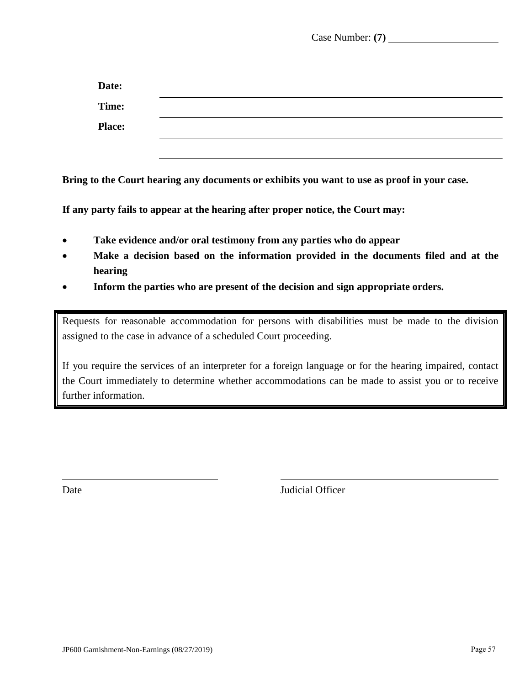Case Number: **(7)**

| Date:         |  |
|---------------|--|
| Time:         |  |
| <b>Place:</b> |  |
|               |  |

**Bring to the Court hearing any documents or exhibits you want to use as proof in your case.** 

**If any party fails to appear at the hearing after proper notice, the Court may:** 

- **Take evidence and/or oral testimony from any parties who do appear**
- **Make a decision based on the information provided in the documents filed and at the hearing**
- **Inform the parties who are present of the decision and sign appropriate orders.**

Requests for reasonable accommodation for persons with disabilities must be made to the division assigned to the case in advance of a scheduled Court proceeding.

If you require the services of an interpreter for a foreign language or for the hearing impaired, contact the Court immediately to determine whether accommodations can be made to assist you or to receive further information.

Date Judicial Officer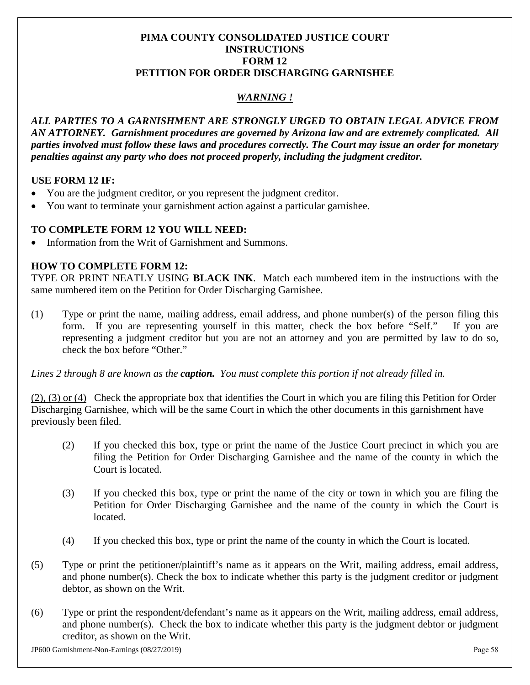## **PIMA COUNTY CONSOLIDATED JUSTICE COURT INSTRUCTIONS FORM 12 PETITION FOR ORDER DISCHARGING GARNISHEE**

# *WARNING !*

*ALL PARTIES TO A GARNISHMENT ARE STRONGLY URGED TO OBTAIN LEGAL ADVICE FROM AN ATTORNEY. Garnishment procedures are governed by Arizona law and are extremely complicated. All parties involved must follow these laws and procedures correctly. The Court may issue an order for monetary penalties against any party who does not proceed properly, including the judgment creditor.* 

# **USE FORM 12 IF:**

- You are the judgment creditor, or you represent the judgment creditor.
- You want to terminate your garnishment action against a particular garnishee.

## **TO COMPLETE FORM 12 YOU WILL NEED:**

• Information from the Writ of Garnishment and Summons.

# **HOW TO COMPLETE FORM 12:**

TYPE OR PRINT NEATLY USING **BLACK INK**. Match each numbered item in the instructions with the same numbered item on the Petition for Order Discharging Garnishee.

(1) Type or print the name, mailing address, email address, and phone number(s) of the person filing this form. If you are representing yourself in this matter, check the box before "Self." If you are representing a judgment creditor but you are not an attorney and you are permitted by law to do so, check the box before "Other."

*Lines 2 through 8 are known as the caption. You must complete this portion if not already filled in.* 

(2), (3) or (4) Check the appropriate box that identifies the Court in which you are filing this Petition for Order Discharging Garnishee, which will be the same Court in which the other documents in this garnishment have previously been filed.

- (2) If you checked this box, type or print the name of the Justice Court precinct in which you are filing the Petition for Order Discharging Garnishee and the name of the county in which the Court is located.
- (3) If you checked this box, type or print the name of the city or town in which you are filing the Petition for Order Discharging Garnishee and the name of the county in which the Court is located.
- (4) If you checked this box, type or print the name of the county in which the Court is located.
- (5) Type or print the petitioner/plaintiff's name as it appears on the Writ, mailing address, email address, and phone number(s). Check the box to indicate whether this party is the judgment creditor or judgment debtor, as shown on the Writ.
- (6) Type or print the respondent/defendant's name as it appears on the Writ, mailing address, email address, and phone number(s). Check the box to indicate whether this party is the judgment debtor or judgment creditor, as shown on the Writ.

JP600 Garnishment-Non-Earnings (08/27/2019)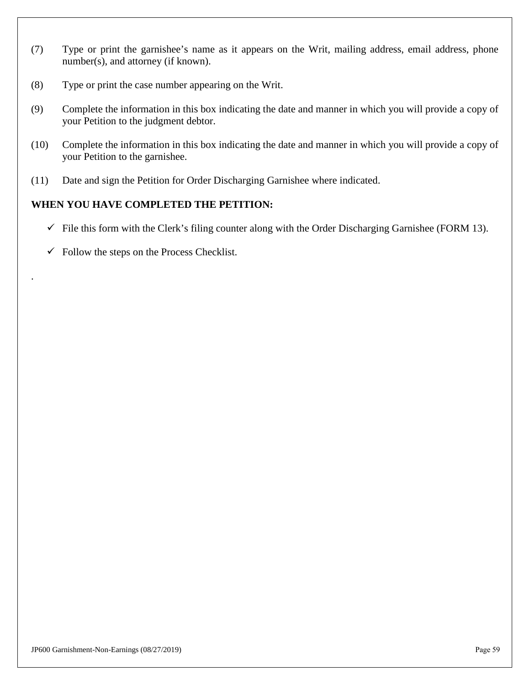- (7) Type or print the garnishee's name as it appears on the Writ, mailing address, email address, phone number(s), and attorney (if known).
- (8) Type or print the case number appearing on the Writ.
- (9) Complete the information in this box indicating the date and manner in which you will provide a copy of your Petition to the judgment debtor.
- (10) Complete the information in this box indicating the date and manner in which you will provide a copy of your Petition to the garnishee.
- (11) Date and sign the Petition for Order Discharging Garnishee where indicated.

## **WHEN YOU HAVE COMPLETED THE PETITION:**

- $\checkmark$  File this form with the Clerk's filing counter along with the Order Discharging Garnishee (FORM 13).
- $\checkmark$  Follow the steps on the Process Checklist.

.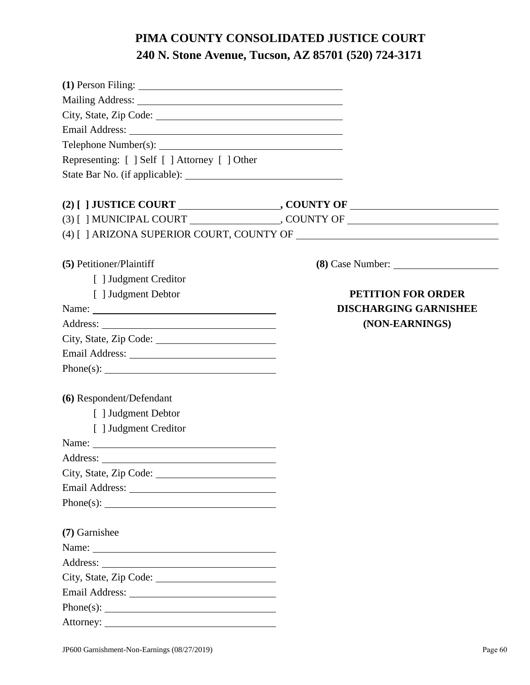| Representing: [ ] Self [ ] Attorney [ ] Other                                                                                                                                                                                  |                              |
|--------------------------------------------------------------------------------------------------------------------------------------------------------------------------------------------------------------------------------|------------------------------|
|                                                                                                                                                                                                                                |                              |
|                                                                                                                                                                                                                                |                              |
|                                                                                                                                                                                                                                |                              |
|                                                                                                                                                                                                                                |                              |
| (5) Petitioner/Plaintiff                                                                                                                                                                                                       |                              |
| [ ] Judgment Creditor                                                                                                                                                                                                          |                              |
| [ ] Judgment Debtor                                                                                                                                                                                                            | <b>PETITION FOR ORDER</b>    |
|                                                                                                                                                                                                                                | <b>DISCHARGING GARNISHEE</b> |
|                                                                                                                                                                                                                                | (NON-EARNINGS)               |
| City, State, Zip Code:                                                                                                                                                                                                         |                              |
|                                                                                                                                                                                                                                |                              |
|                                                                                                                                                                                                                                |                              |
| (6) Respondent/Defendant                                                                                                                                                                                                       |                              |
| [ ] Judgment Debtor                                                                                                                                                                                                            |                              |
| [ ] Judgment Creditor                                                                                                                                                                                                          |                              |
|                                                                                                                                                                                                                                |                              |
|                                                                                                                                                                                                                                |                              |
|                                                                                                                                                                                                                                |                              |
|                                                                                                                                                                                                                                |                              |
|                                                                                                                                                                                                                                |                              |
| (7) Garnishee                                                                                                                                                                                                                  |                              |
| Name:                                                                                                                                                                                                                          |                              |
|                                                                                                                                                                                                                                |                              |
|                                                                                                                                                                                                                                |                              |
| Email Address: New York Changes and School and School and School and School and School and School and School and School and School and School and School and School and School and School and School and School and School and |                              |
|                                                                                                                                                                                                                                |                              |
|                                                                                                                                                                                                                                |                              |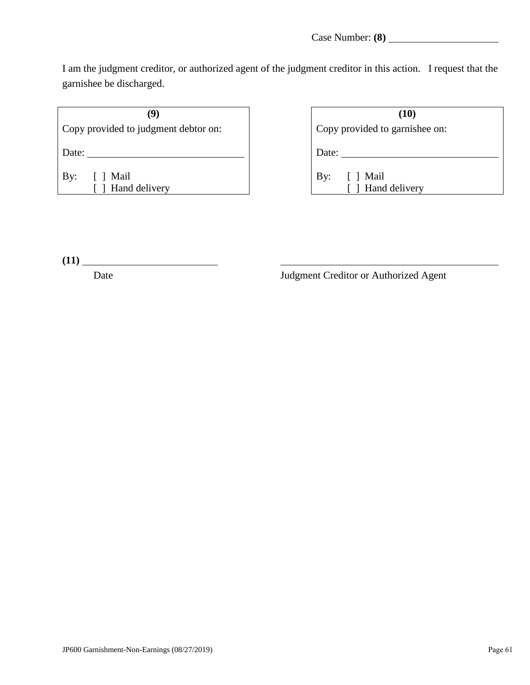I am the judgment creditor, or authorized agent of the judgment creditor in this action. I request that the garnishee be discharged.

| (9)                                  |  |  |  |  |  |  |
|--------------------------------------|--|--|--|--|--|--|
| Copy provided to judgment debtor on: |  |  |  |  |  |  |
|                                      |  |  |  |  |  |  |
| Date:                                |  |  |  |  |  |  |
| By: $\lceil \cdot \rceil$ Mail       |  |  |  |  |  |  |

Hand delivery

| (9)               | (10)                           |
|-------------------|--------------------------------|
| dgment debtor on: | Copy provided to garnishee on: |
|                   | Date:                          |
| ivery             | Mail<br>By:<br>Hand delivery   |

**(11)**

Date Judgment Creditor or Authorized Agent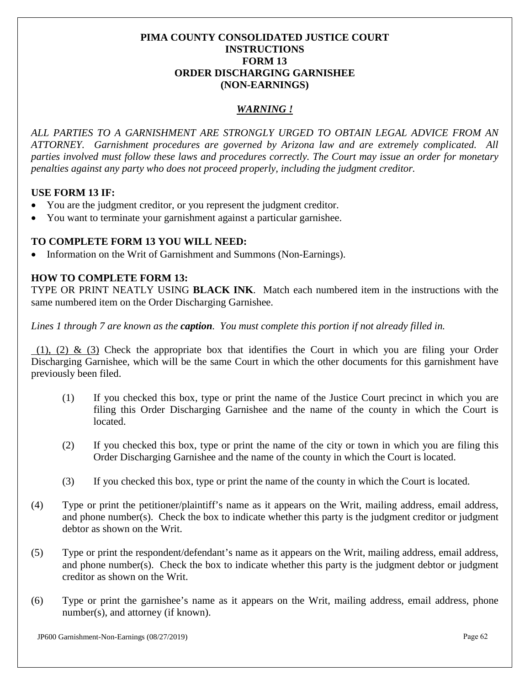### **PIMA COUNTY CONSOLIDATED JUSTICE COURT INSTRUCTIONS FORM 13 ORDER DISCHARGING GARNISHEE (NON-EARNINGS)**

## *WARNING !*

*ALL PARTIES TO A GARNISHMENT ARE STRONGLY URGED TO OBTAIN LEGAL ADVICE FROM AN ATTORNEY. Garnishment procedures are governed by Arizona law and are extremely complicated. All parties involved must follow these laws and procedures correctly. The Court may issue an order for monetary penalties against any party who does not proceed properly, including the judgment creditor.* 

### **USE FORM 13 IF:**

- You are the judgment creditor, or you represent the judgment creditor.
- You want to terminate your garnishment against a particular garnishee.

### **TO COMPLETE FORM 13 YOU WILL NEED:**

• Information on the Writ of Garnishment and Summons (Non-Earnings).

## **HOW TO COMPLETE FORM 13:**

TYPE OR PRINT NEATLY USING **BLACK INK**. Match each numbered item in the instructions with the same numbered item on the Order Discharging Garnishee.

*Lines 1 through 7 are known as the caption. You must complete this portion if not already filled in.* 

 $(1)$ ,  $(2)$  &  $(3)$  Check the appropriate box that identifies the Court in which you are filing your Order Discharging Garnishee, which will be the same Court in which the other documents for this garnishment have previously been filed.

- (1) If you checked this box, type or print the name of the Justice Court precinct in which you are filing this Order Discharging Garnishee and the name of the county in which the Court is located.
- (2) If you checked this box, type or print the name of the city or town in which you are filing this Order Discharging Garnishee and the name of the county in which the Court is located.
- (3) If you checked this box, type or print the name of the county in which the Court is located.
- (4) Type or print the petitioner/plaintiff's name as it appears on the Writ, mailing address, email address, and phone number(s). Check the box to indicate whether this party is the judgment creditor or judgment debtor as shown on the Writ.
- (5) Type or print the respondent/defendant's name as it appears on the Writ, mailing address, email address, and phone number(s). Check the box to indicate whether this party is the judgment debtor or judgment creditor as shown on the Writ.
- (6) Type or print the garnishee's name as it appears on the Writ, mailing address, email address, phone number(s), and attorney (if known).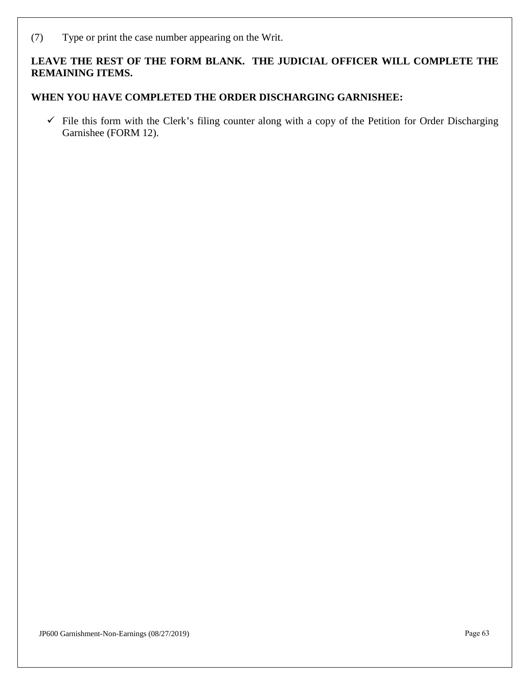(7) Type or print the case number appearing on the Writ.

# **LEAVE THE REST OF THE FORM BLANK. THE JUDICIAL OFFICER WILL COMPLETE THE REMAINING ITEMS.**

## **WHEN YOU HAVE COMPLETED THE ORDER DISCHARGING GARNISHEE:**

 $\checkmark$  File this form with the Clerk's filing counter along with a copy of the Petition for Order Discharging Garnishee (FORM 12).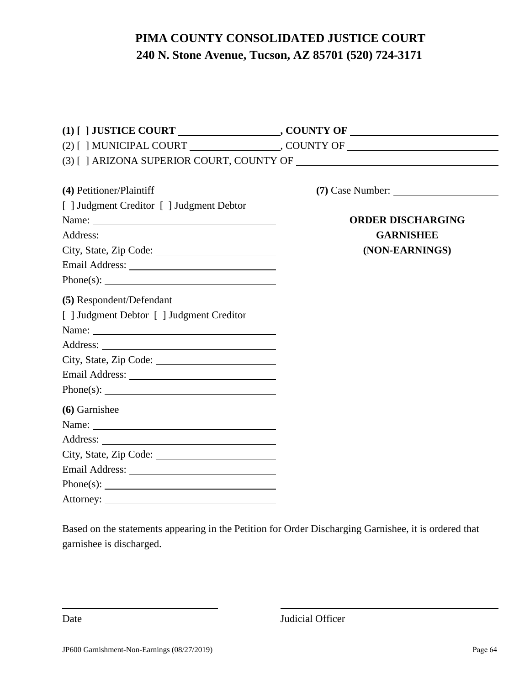| (4) Petitioner/Plaintiff                                                                                                                                                                                                       |                          |  |  |  |  |  |  |
|--------------------------------------------------------------------------------------------------------------------------------------------------------------------------------------------------------------------------------|--------------------------|--|--|--|--|--|--|
| [ ] Judgment Creditor [ ] Judgment Debtor                                                                                                                                                                                      |                          |  |  |  |  |  |  |
| Name:                                                                                                                                                                                                                          | <b>ORDER DISCHARGING</b> |  |  |  |  |  |  |
|                                                                                                                                                                                                                                | <b>GARNISHEE</b>         |  |  |  |  |  |  |
|                                                                                                                                                                                                                                | (NON-EARNINGS)           |  |  |  |  |  |  |
| Email Address: No. 1996. The Contract of the Contract of the Contract of the Contract of the Contract of the Contract of the Contract of the Contract of the Contract of the Contract of the Contract of the Contract of the C |                          |  |  |  |  |  |  |
|                                                                                                                                                                                                                                |                          |  |  |  |  |  |  |
| (5) Respondent/Defendant                                                                                                                                                                                                       |                          |  |  |  |  |  |  |
| [] Judgment Debtor [ ] Judgment Creditor                                                                                                                                                                                       |                          |  |  |  |  |  |  |
| Name: 2008.000 Manual Manual Manual Manual Manual Manual Manual Manual Manual Manual Manual Manual Manual Manua                                                                                                                |                          |  |  |  |  |  |  |
|                                                                                                                                                                                                                                |                          |  |  |  |  |  |  |
|                                                                                                                                                                                                                                |                          |  |  |  |  |  |  |
|                                                                                                                                                                                                                                |                          |  |  |  |  |  |  |
|                                                                                                                                                                                                                                |                          |  |  |  |  |  |  |
| (6) Garnishee                                                                                                                                                                                                                  |                          |  |  |  |  |  |  |
|                                                                                                                                                                                                                                |                          |  |  |  |  |  |  |
|                                                                                                                                                                                                                                |                          |  |  |  |  |  |  |
|                                                                                                                                                                                                                                |                          |  |  |  |  |  |  |
|                                                                                                                                                                                                                                |                          |  |  |  |  |  |  |
|                                                                                                                                                                                                                                |                          |  |  |  |  |  |  |
|                                                                                                                                                                                                                                |                          |  |  |  |  |  |  |
|                                                                                                                                                                                                                                |                          |  |  |  |  |  |  |

Based on the statements appearing in the Petition for Order Discharging Garnishee, it is ordered that garnishee is discharged.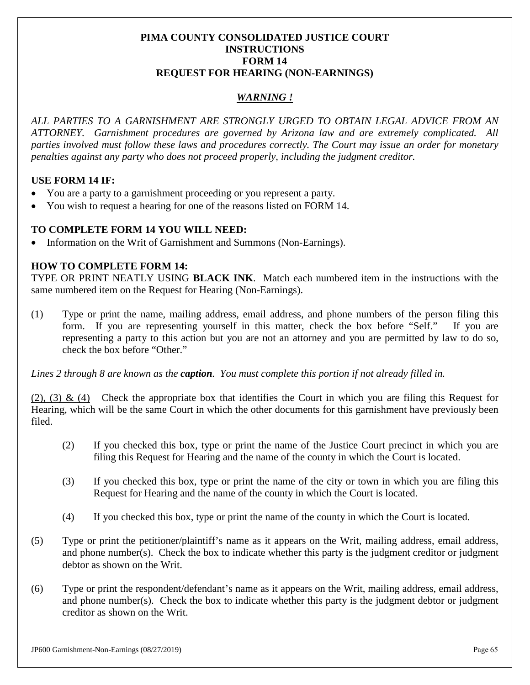## **PIMA COUNTY CONSOLIDATED JUSTICE COURT INSTRUCTIONS FORM 14 REQUEST FOR HEARING (NON-EARNINGS)**

# *WARNING !*

*ALL PARTIES TO A GARNISHMENT ARE STRONGLY URGED TO OBTAIN LEGAL ADVICE FROM AN ATTORNEY. Garnishment procedures are governed by Arizona law and are extremely complicated. All parties involved must follow these laws and procedures correctly. The Court may issue an order for monetary penalties against any party who does not proceed properly, including the judgment creditor.* 

## **USE FORM 14 IF:**

- You are a party to a garnishment proceeding or you represent a party.
- You wish to request a hearing for one of the reasons listed on FORM 14.

### **TO COMPLETE FORM 14 YOU WILL NEED:**

• Information on the Writ of Garnishment and Summons (Non-Earnings).

### **HOW TO COMPLETE FORM 14:**

TYPE OR PRINT NEATLY USING **BLACK INK**. Match each numbered item in the instructions with the same numbered item on the Request for Hearing (Non-Earnings).

(1) Type or print the name, mailing address, email address, and phone numbers of the person filing this form. If you are representing yourself in this matter, check the box before "Self." If you are representing a party to this action but you are not an attorney and you are permitted by law to do so, check the box before "Other."

*Lines 2 through 8 are known as the caption. You must complete this portion if not already filled in.* 

(2), (3) & (4) Check the appropriate box that identifies the Court in which you are filing this Request for Hearing, which will be the same Court in which the other documents for this garnishment have previously been filed.

- (2) If you checked this box, type or print the name of the Justice Court precinct in which you are filing this Request for Hearing and the name of the county in which the Court is located.
- (3) If you checked this box, type or print the name of the city or town in which you are filing this Request for Hearing and the name of the county in which the Court is located.
- (4) If you checked this box, type or print the name of the county in which the Court is located.
- (5) Type or print the petitioner/plaintiff's name as it appears on the Writ, mailing address, email address, and phone number(s). Check the box to indicate whether this party is the judgment creditor or judgment debtor as shown on the Writ.
- (6) Type or print the respondent/defendant's name as it appears on the Writ, mailing address, email address, and phone number(s). Check the box to indicate whether this party is the judgment debtor or judgment creditor as shown on the Writ.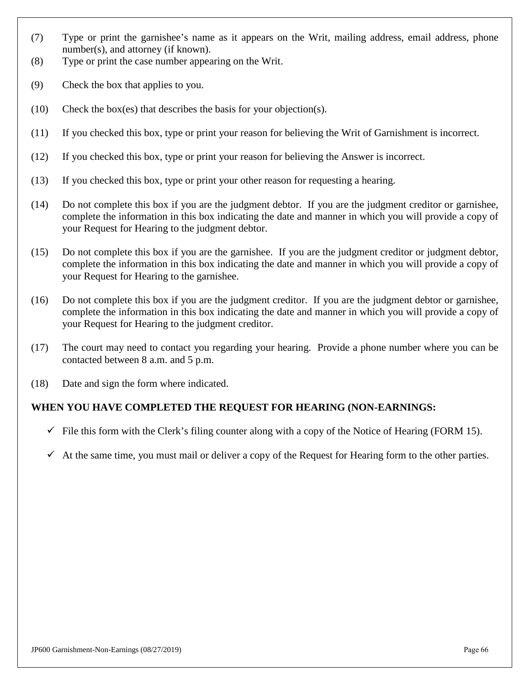- (7) Type or print the garnishee's name as it appears on the Writ, mailing address, email address, phone number(s), and attorney (if known).
- (8) Type or print the case number appearing on the Writ.
- (9) Check the box that applies to you.
- (10) Check the box(es) that describes the basis for your objection(s).
- (11) If you checked this box, type or print your reason for believing the Writ of Garnishment is incorrect.
- (12) If you checked this box, type or print your reason for believing the Answer is incorrect.
- (13) If you checked this box, type or print your other reason for requesting a hearing.
- (14) Do not complete this box if you are the judgment debtor. If you are the judgment creditor or garnishee, complete the information in this box indicating the date and manner in which you will provide a copy of your Request for Hearing to the judgment debtor.
- (15) Do not complete this box if you are the garnishee. If you are the judgment creditor or judgment debtor, complete the information in this box indicating the date and manner in which you will provide a copy of your Request for Hearing to the garnishee.
- (16) Do not complete this box if you are the judgment creditor. If you are the judgment debtor or garnishee, complete the information in this box indicating the date and manner in which you will provide a copy of your Request for Hearing to the judgment creditor.
- (17) The court may need to contact you regarding your hearing. Provide a phone number where you can be contacted between 8 a.m. and 5 p.m.
- (18) Date and sign the form where indicated.

## **WHEN YOU HAVE COMPLETED THE REQUEST FOR HEARING (NON-EARNINGS:**

- $\checkmark$  File this form with the Clerk's filing counter along with a copy of the Notice of Hearing (FORM 15).
- $\checkmark$  At the same time, you must mail or deliver a copy of the Request for Hearing form to the other parties.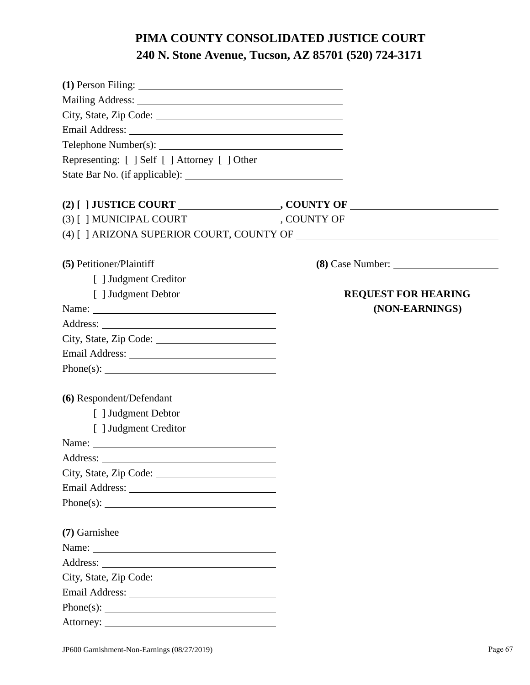| Telephone Number(s):                              |                            |
|---------------------------------------------------|----------------------------|
| Representing: [ ] Self [ ] Attorney [ ] Other     |                            |
|                                                   |                            |
|                                                   |                            |
|                                                   |                            |
|                                                   |                            |
|                                                   |                            |
| (5) Petitioner/Plaintiff<br>[ ] Judgment Creditor |                            |
| [ ] Judgment Debtor                               | <b>REQUEST FOR HEARING</b> |
|                                                   | (NON-EARNINGS)             |
|                                                   |                            |
|                                                   |                            |
|                                                   |                            |
|                                                   |                            |
|                                                   |                            |
| (6) Respondent/Defendant                          |                            |
| [ ] Judgment Debtor                               |                            |
| [ ] Judgment Creditor                             |                            |
|                                                   |                            |
|                                                   |                            |
| City, State, Zip Code:                            |                            |
|                                                   |                            |
|                                                   |                            |
| (7) Garnishee                                     |                            |
|                                                   |                            |
|                                                   |                            |
|                                                   |                            |
|                                                   |                            |
|                                                   |                            |
|                                                   |                            |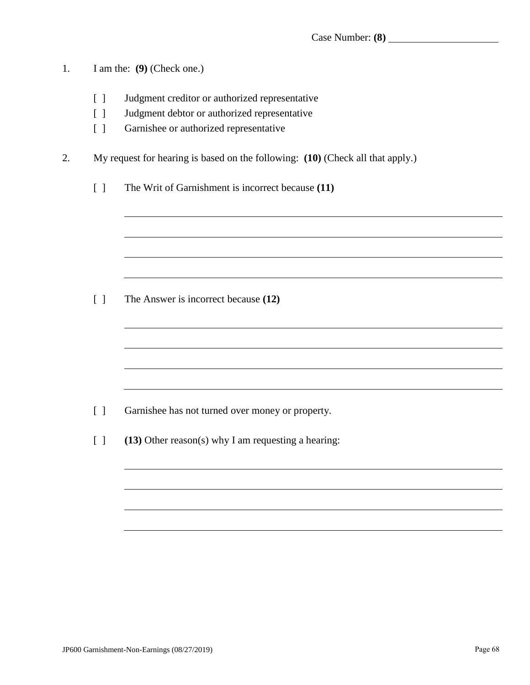| 1. |  | I am the: $(9)$ (Check one.) |
|----|--|------------------------------|
|----|--|------------------------------|

- [ ] Judgment creditor or authorized representative
- [ ] Judgment debtor or authorized representative
- [ ] Garnishee or authorized representative
- 2. My request for hearing is based on the following: **(10)** (Check all that apply.)
	- [ ] The Writ of Garnishment is incorrect because **(11)**

[ ] The Answer is incorrect because **(12)**

[ ] Garnishee has not turned over money or property.

[ ] **(13)** Other reason(s) why I am requesting a hearing: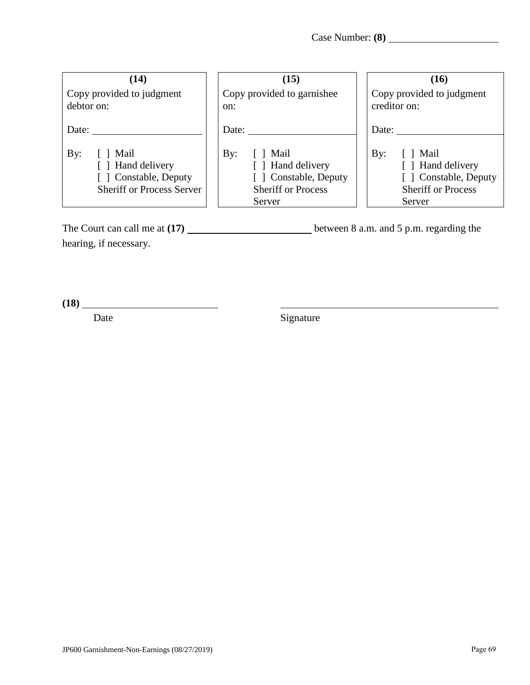| (14)                                                                                                     | (15)                                                                                                       | (16)                                                                                                                   |  |  |  |  |  |
|----------------------------------------------------------------------------------------------------------|------------------------------------------------------------------------------------------------------------|------------------------------------------------------------------------------------------------------------------------|--|--|--|--|--|
| Copy provided to judgment<br>debtor on:                                                                  | Copy provided to garnishee<br>on:                                                                          | Copy provided to judgment<br>creditor on:                                                                              |  |  |  |  |  |
| Date:                                                                                                    | Date:                                                                                                      | Date:                                                                                                                  |  |  |  |  |  |
| By:<br>$\lceil$   Mail<br>[ ] Hand delivery<br>[ ] Constable, Deputy<br><b>Sheriff or Process Server</b> | $\lceil$   Mail<br>By:<br>[ ] Hand delivery<br>[] Constable, Deputy<br><b>Sheriff or Process</b><br>Server | $\lceil$   Mail<br>$\mathbf{B}$ y:<br>[ ] Hand delivery<br>[] Constable, Deputy<br><b>Sheriff or Process</b><br>Server |  |  |  |  |  |

The Court can call me at (17) \_\_\_\_\_\_\_\_\_\_\_\_\_\_\_\_\_\_\_\_\_\_\_\_\_\_\_\_\_between 8 a.m. and 5 p.m. regarding the hearing, if necessary.

**(18)** 

Date Signature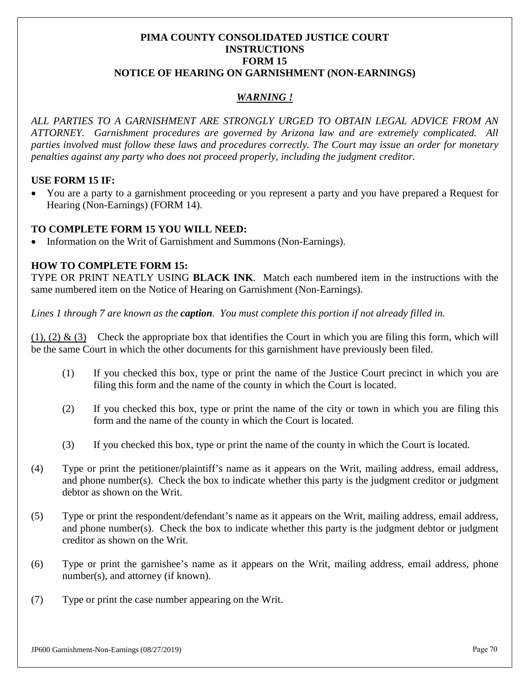## **PIMA COUNTY CONSOLIDATED JUSTICE COURT INSTRUCTIONS FORM 15 NOTICE OF HEARING ON GARNISHMENT (NON-EARNINGS)**

# *WARNING !*

*ALL PARTIES TO A GARNISHMENT ARE STRONGLY URGED TO OBTAIN LEGAL ADVICE FROM AN ATTORNEY. Garnishment procedures are governed by Arizona law and are extremely complicated. All parties involved must follow these laws and procedures correctly. The Court may issue an order for monetary penalties against any party who does not proceed properly, including the judgment creditor.* 

## **USE FORM 15 IF:**

• You are a party to a garnishment proceeding or you represent a party and you have prepared a Request for Hearing (Non-Earnings) (FORM 14).

### **TO COMPLETE FORM 15 YOU WILL NEED:**

• Information on the Writ of Garnishment and Summons (Non-Earnings).

### **HOW TO COMPLETE FORM 15:**

TYPE OR PRINT NEATLY USING **BLACK INK**. Match each numbered item in the instructions with the same numbered item on the Notice of Hearing on Garnishment (Non-Earnings).

*Lines 1 through 7 are known as the caption. You must complete this portion if not already filled in.* 

(1), (2)  $\&$  (3) Check the appropriate box that identifies the Court in which you are filing this form, which will be the same Court in which the other documents for this garnishment have previously been filed.

- (1) If you checked this box, type or print the name of the Justice Court precinct in which you are filing this form and the name of the county in which the Court is located.
- (2) If you checked this box, type or print the name of the city or town in which you are filing this form and the name of the county in which the Court is located.
- (3) If you checked this box, type or print the name of the county in which the Court is located.
- (4) Type or print the petitioner/plaintiff's name as it appears on the Writ, mailing address, email address, and phone number(s). Check the box to indicate whether this party is the judgment creditor or judgment debtor as shown on the Writ.
- (5) Type or print the respondent/defendant's name as it appears on the Writ, mailing address, email address, and phone number(s). Check the box to indicate whether this party is the judgment debtor or judgment creditor as shown on the Writ.
- (6) Type or print the garnishee's name as it appears on the Writ, mailing address, email address, phone number(s), and attorney (if known).
- (7) Type or print the case number appearing on the Writ.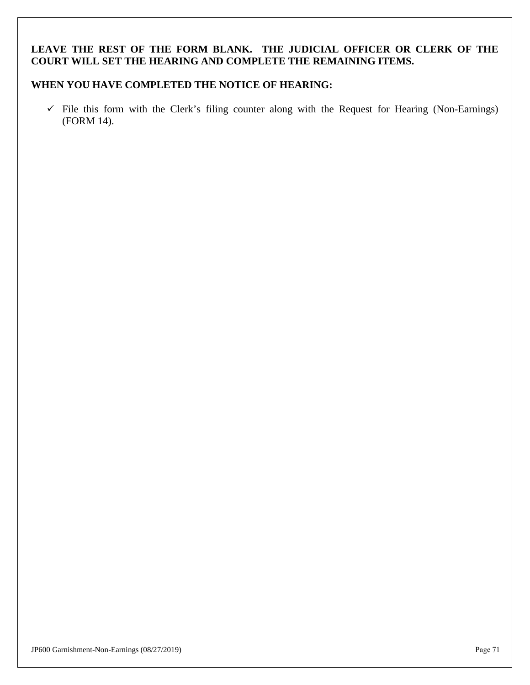# **LEAVE THE REST OF THE FORM BLANK. THE JUDICIAL OFFICER OR CLERK OF THE COURT WILL SET THE HEARING AND COMPLETE THE REMAINING ITEMS.**

#### **WHEN YOU HAVE COMPLETED THE NOTICE OF HEARING:**

 $\checkmark$  File this form with the Clerk's filing counter along with the Request for Hearing (Non-Earnings) (FORM 14).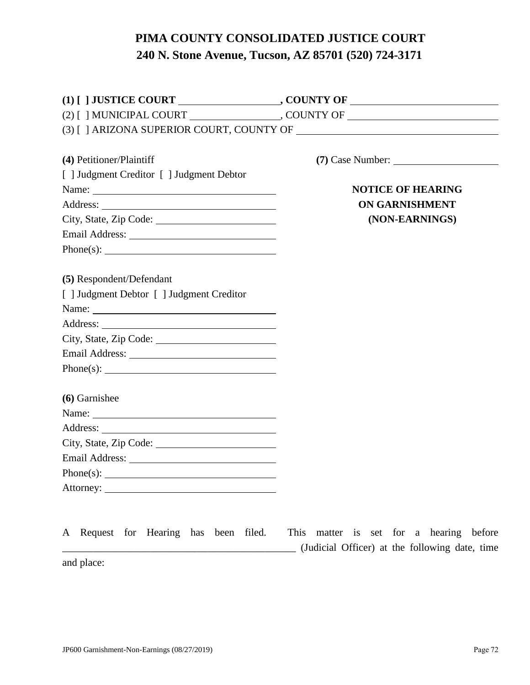| (4) Petitioner/Plaintiff                                                                                                                                                                                                       | $(7)$ Case Number: $\_\_$ |
|--------------------------------------------------------------------------------------------------------------------------------------------------------------------------------------------------------------------------------|---------------------------|
| [ ] Judgment Creditor [ ] Judgment Debtor                                                                                                                                                                                      |                           |
|                                                                                                                                                                                                                                | <b>NOTICE OF HEARING</b>  |
|                                                                                                                                                                                                                                | <b>ON GARNISHMENT</b>     |
|                                                                                                                                                                                                                                | (NON-EARNINGS)            |
| Email Address: New York Changes and School and School and School and School and School and School and School and School and School and School and School and School and School and School and School and School and School and |                           |
|                                                                                                                                                                                                                                |                           |
|                                                                                                                                                                                                                                |                           |
| (5) Respondent/Defendant                                                                                                                                                                                                       |                           |
| [ ] Judgment Debtor [ ] Judgment Creditor                                                                                                                                                                                      |                           |
|                                                                                                                                                                                                                                |                           |
|                                                                                                                                                                                                                                |                           |
| City, State, Zip Code:                                                                                                                                                                                                         |                           |
|                                                                                                                                                                                                                                |                           |
|                                                                                                                                                                                                                                |                           |
| (6) Garnishee                                                                                                                                                                                                                  |                           |
|                                                                                                                                                                                                                                |                           |
|                                                                                                                                                                                                                                |                           |
| City, State, Zip Code: 2000                                                                                                                                                                                                    |                           |
|                                                                                                                                                                                                                                |                           |
|                                                                                                                                                                                                                                |                           |
|                                                                                                                                                                                                                                |                           |

|            | A Request for Hearing has been filed. |  |  | This matter is set for a hearing before        |  |  |  |  |
|------------|---------------------------------------|--|--|------------------------------------------------|--|--|--|--|
|            |                                       |  |  | (Judicial Officer) at the following date, time |  |  |  |  |
| and place: |                                       |  |  |                                                |  |  |  |  |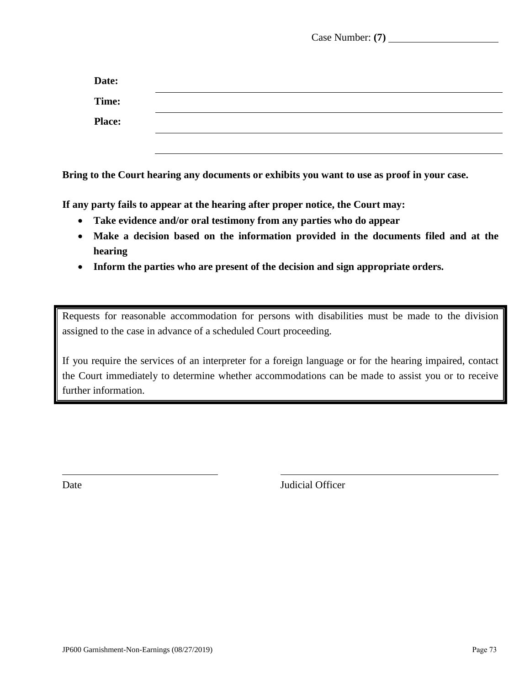Case Number: **(7)**

| Date:         |  |
|---------------|--|
| Time:         |  |
| <b>Place:</b> |  |
|               |  |

**Bring to the Court hearing any documents or exhibits you want to use as proof in your case.** 

**If any party fails to appear at the hearing after proper notice, the Court may:** 

- **Take evidence and/or oral testimony from any parties who do appear**
- **Make a decision based on the information provided in the documents filed and at the hearing**
- **Inform the parties who are present of the decision and sign appropriate orders.**

Requests for reasonable accommodation for persons with disabilities must be made to the division assigned to the case in advance of a scheduled Court proceeding.

If you require the services of an interpreter for a foreign language or for the hearing impaired, contact the Court immediately to determine whether accommodations can be made to assist you or to receive further information.

Date Judicial Officer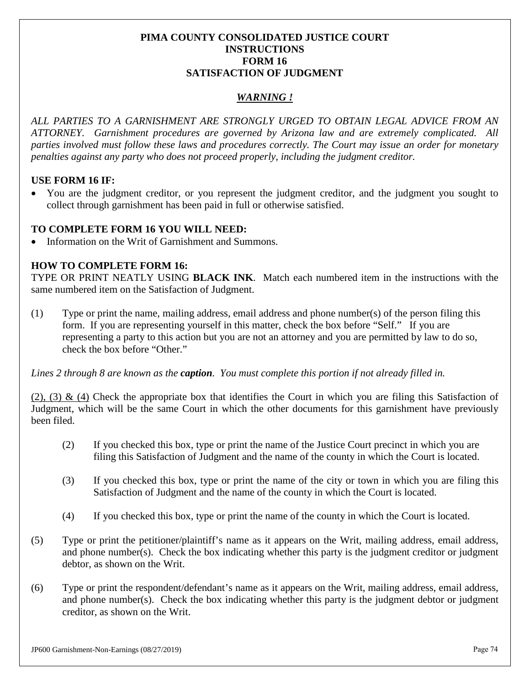#### **PIMA COUNTY CONSOLIDATED JUSTICE COURT INSTRUCTIONS FORM 16 SATISFACTION OF JUDGMENT**

## *WARNING !*

*ALL PARTIES TO A GARNISHMENT ARE STRONGLY URGED TO OBTAIN LEGAL ADVICE FROM AN ATTORNEY. Garnishment procedures are governed by Arizona law and are extremely complicated. All parties involved must follow these laws and procedures correctly. The Court may issue an order for monetary penalties against any party who does not proceed properly, including the judgment creditor.* 

## **USE FORM 16 IF:**

• You are the judgment creditor, or you represent the judgment creditor, and the judgment you sought to collect through garnishment has been paid in full or otherwise satisfied.

#### **TO COMPLETE FORM 16 YOU WILL NEED:**

• Information on the Writ of Garnishment and Summons.

#### **HOW TO COMPLETE FORM 16:**

TYPE OR PRINT NEATLY USING **BLACK INK**. Match each numbered item in the instructions with the same numbered item on the Satisfaction of Judgment.

(1) Type or print the name, mailing address, email address and phone number(s) of the person filing this form. If you are representing yourself in this matter, check the box before "Self." If you are representing a party to this action but you are not an attorney and you are permitted by law to do so, check the box before "Other."

*Lines 2 through 8 are known as the caption. You must complete this portion if not already filled in.* 

(2), (3) & (4) Check the appropriate box that identifies the Court in which you are filing this Satisfaction of Judgment, which will be the same Court in which the other documents for this garnishment have previously been filed.

- (2) If you checked this box, type or print the name of the Justice Court precinct in which you are filing this Satisfaction of Judgment and the name of the county in which the Court is located.
- (3) If you checked this box, type or print the name of the city or town in which you are filing this Satisfaction of Judgment and the name of the county in which the Court is located.
- (4) If you checked this box, type or print the name of the county in which the Court is located.
- (5) Type or print the petitioner/plaintiff's name as it appears on the Writ, mailing address, email address, and phone number(s). Check the box indicating whether this party is the judgment creditor or judgment debtor, as shown on the Writ.
- (6) Type or print the respondent/defendant's name as it appears on the Writ, mailing address, email address, and phone number(s). Check the box indicating whether this party is the judgment debtor or judgment creditor, as shown on the Writ.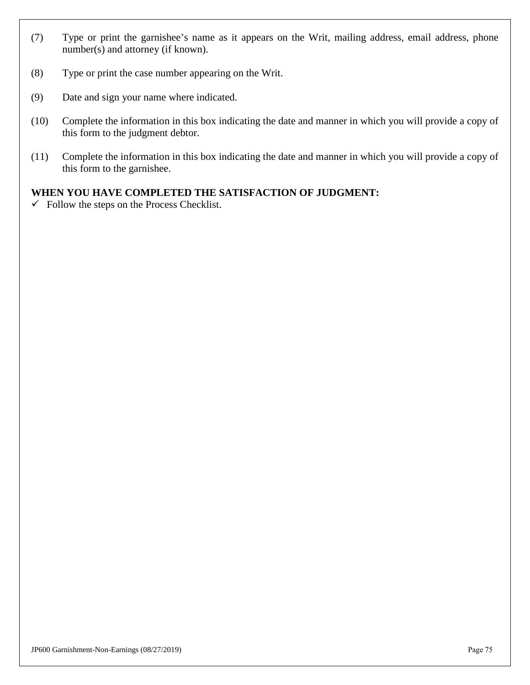- (7) Type or print the garnishee's name as it appears on the Writ, mailing address, email address, phone number(s) and attorney (if known).
- (8) Type or print the case number appearing on the Writ.
- (9) Date and sign your name where indicated.
- (10) Complete the information in this box indicating the date and manner in which you will provide a copy of this form to the judgment debtor.
- (11) Complete the information in this box indicating the date and manner in which you will provide a copy of this form to the garnishee.

## **WHEN YOU HAVE COMPLETED THE SATISFACTION OF JUDGMENT:**

 $\checkmark$  Follow the steps on the Process Checklist.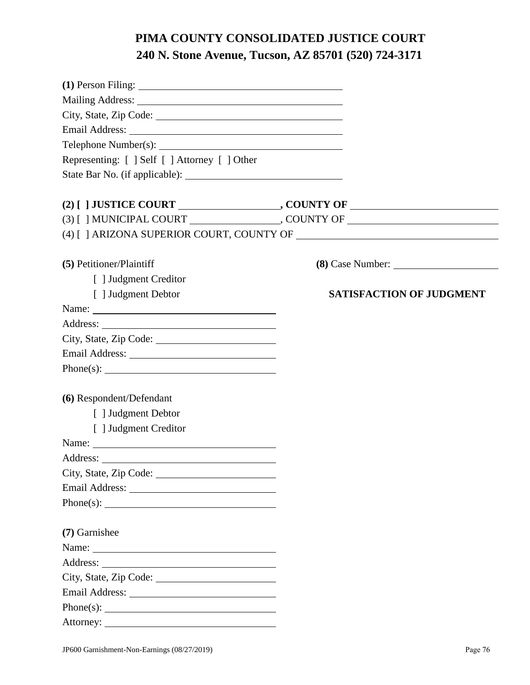# **PIMA COUNTY CONSOLIDATED JUSTICE COURT 240 N. Stone Avenue, Tucson, AZ 85701 (520) 724-3171**

| (1) Person Filing: 2008. [1] Person Filing: 2008. [1] Person Filing: 2008. [1] Person Filing: 2008. [1] Person Filing: 2008. [1] Person Filing: 2008. [1] Person Filing: 2008. [1] Person Filing: 2008. [1] Person Filing: 200 |                                 |
|--------------------------------------------------------------------------------------------------------------------------------------------------------------------------------------------------------------------------------|---------------------------------|
|                                                                                                                                                                                                                                |                                 |
|                                                                                                                                                                                                                                |                                 |
|                                                                                                                                                                                                                                |                                 |
|                                                                                                                                                                                                                                |                                 |
| Representing: [ ] Self [ ] Attorney [ ] Other                                                                                                                                                                                  |                                 |
|                                                                                                                                                                                                                                |                                 |
|                                                                                                                                                                                                                                |                                 |
|                                                                                                                                                                                                                                |                                 |
|                                                                                                                                                                                                                                |                                 |
|                                                                                                                                                                                                                                |                                 |
| (5) Petitioner/Plaintiff                                                                                                                                                                                                       | (8) Case Number:                |
| [ ] Judgment Creditor                                                                                                                                                                                                          |                                 |
| [ ] Judgment Debtor                                                                                                                                                                                                            | <b>SATISFACTION OF JUDGMENT</b> |
| Name:                                                                                                                                                                                                                          |                                 |
|                                                                                                                                                                                                                                |                                 |
|                                                                                                                                                                                                                                |                                 |
|                                                                                                                                                                                                                                |                                 |
|                                                                                                                                                                                                                                |                                 |
|                                                                                                                                                                                                                                |                                 |
| (6) Respondent/Defendant                                                                                                                                                                                                       |                                 |
| [ ] Judgment Debtor                                                                                                                                                                                                            |                                 |
| [ ] Judgment Creditor                                                                                                                                                                                                          |                                 |
|                                                                                                                                                                                                                                |                                 |
|                                                                                                                                                                                                                                |                                 |
| City, State, Zip Code:                                                                                                                                                                                                         |                                 |
|                                                                                                                                                                                                                                |                                 |
|                                                                                                                                                                                                                                |                                 |
| (7) Garnishee                                                                                                                                                                                                                  |                                 |
|                                                                                                                                                                                                                                |                                 |
|                                                                                                                                                                                                                                |                                 |
|                                                                                                                                                                                                                                |                                 |
| Email Address:                                                                                                                                                                                                                 |                                 |
|                                                                                                                                                                                                                                |                                 |
|                                                                                                                                                                                                                                |                                 |